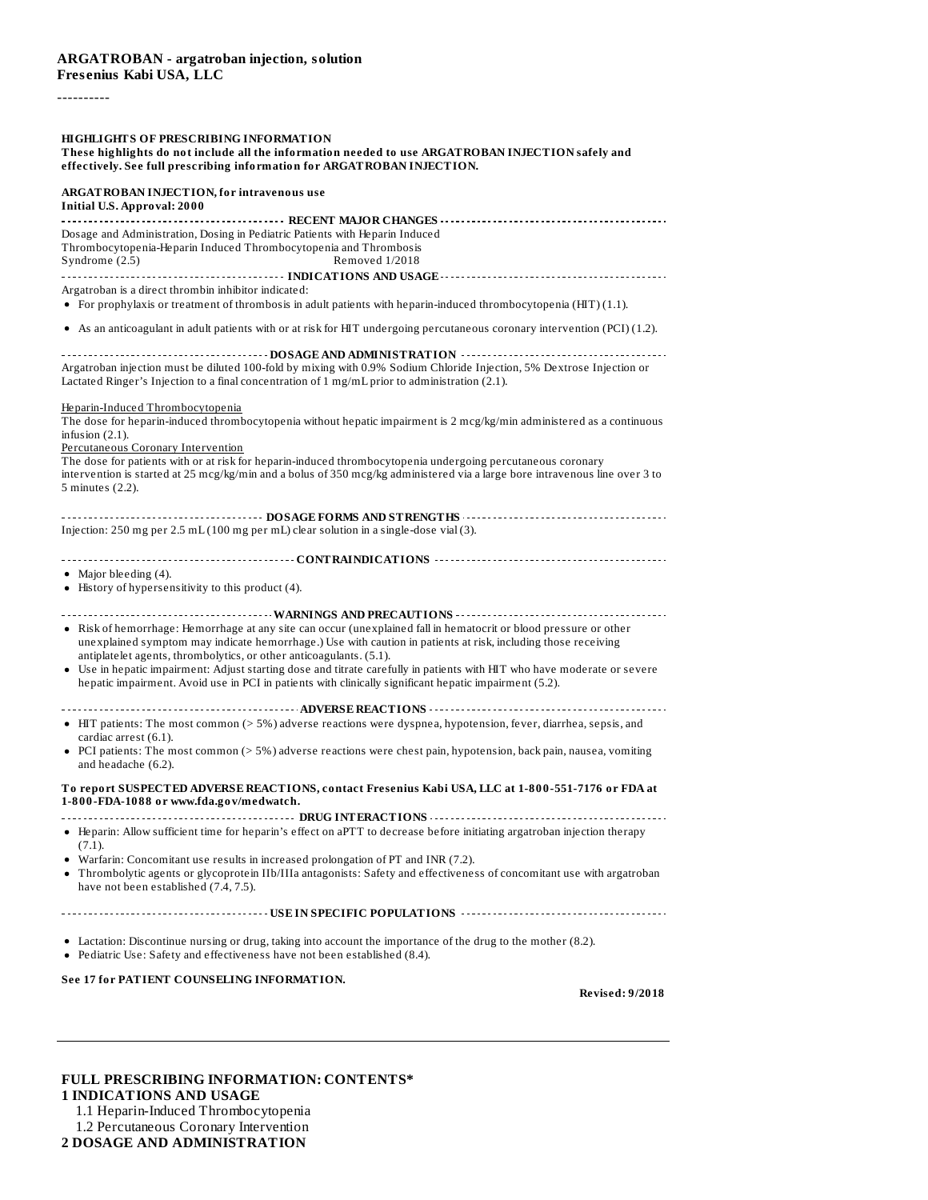#### ----------

#### **HIGHLIGHTS OF PRESCRIBING INFORMATION**

#### **These highlights do not include all the information needed to use ARGATROBAN INJECTION safely and effectively. See full prescribing information for ARGATROBAN INJECTION.**

| ARGATROBAN INJECTION, for intravenous use<br><b>Initial U.S. Approval: 2000</b>                                                                                                                                         |
|-------------------------------------------------------------------------------------------------------------------------------------------------------------------------------------------------------------------------|
|                                                                                                                                                                                                                         |
| Dosage and Administration, Dosing in Pediatric Patients with Heparin Induced                                                                                                                                            |
| Thrombocytopenia-Heparin Induced Thrombocytopenia and Thrombosis                                                                                                                                                        |
| Syndrome (2.5)<br>Removed 1/2018                                                                                                                                                                                        |
|                                                                                                                                                                                                                         |
| Argatroban is a direct thrombin inhibitor indicated:                                                                                                                                                                    |
| • For prophylaxis or treatment of thrombosis in adult patients with heparin-induced thrombocytopenia (HIT) $(1.1)$ .                                                                                                    |
| • As an anticoagulant in adult patients with or at risk for HIT undergoing percutaneous coronary intervention (PCI) (1.2).                                                                                              |
|                                                                                                                                                                                                                         |
| Argatroban injection must be diluted 100-fold by mixing with 0.9% Sodium Chloride Injection, 5% Dextrose Injection or<br>Lactated Ringer's Injection to a final concentration of 1 mg/mL prior to administration (2.1). |
| Heparin-Induced Thrombocytopenia                                                                                                                                                                                        |
| The dose for heparin-induced thrombocytopenia without hepatic impairment is 2 mcg/kg/min administered as a continuous<br>infusion $(2.1)$ .                                                                             |
| Percutaneous Coronary Intervention                                                                                                                                                                                      |
| The dose for patients with or at risk for heparin-induced thrombocytopenia undergoing percutaneous coronary                                                                                                             |
| intervention is started at 25 mcg/kg/min and a bolus of 350 mcg/kg administered via a large bore intravenous line over 3 to                                                                                             |
| 5 minutes (2.2).                                                                                                                                                                                                        |
|                                                                                                                                                                                                                         |
| Injection: 250 mg per $2.5$ mL $(100$ mg per mL) clear solution in a single-dose vial $(3)$ .                                                                                                                           |
|                                                                                                                                                                                                                         |
| • Major bleeding $(4)$ .                                                                                                                                                                                                |
| • History of hypersensitivity to this product (4).                                                                                                                                                                      |
|                                                                                                                                                                                                                         |
|                                                                                                                                                                                                                         |
| · Risk of hemorrhage: Hemorrhage at any site can occur (unexplained fall in hematocrit or blood pressure or other                                                                                                       |
| unexplained symptom may indicate hemorrhage.) Use with caution in patients at risk, including those receiving                                                                                                           |
| antiplatelet agents, thrombolytics, or other anticoagulants. (5.1).                                                                                                                                                     |
| • Use in hepatic impairment: Adjust starting dose and titrate carefully in patients with HIT who have moderate or severe                                                                                                |
| hepatic impairment. Avoid use in PCI in patients with clinically significant hepatic impairment (5.2).                                                                                                                  |
|                                                                                                                                                                                                                         |
|                                                                                                                                                                                                                         |
| • HIT patients: The most common (> 5%) adverse reactions were dyspnea, hypotension, fever, diarrhea, sepsis, and                                                                                                        |
| cardiac arrest (6.1).                                                                                                                                                                                                   |
| • PCI patients: The most common (> 5%) adverse reactions were chest pain, hypotension, back pain, nausea, vomiting                                                                                                      |
| and headache (6.2).                                                                                                                                                                                                     |
| To report SUSPECTED ADVERSE REACTIONS, contact Fresenius Kabi USA, LLC at 1-800-551-7176 or FDA at<br>1-800-FDA-1088 or www.fda.gov/medwatch.                                                                           |
|                                                                                                                                                                                                                         |
| • Heparin: Allow sufficient time for heparin's effect on aPTT to decrease before initiating argatroban injection therapy                                                                                                |
| $(7.1)$ .                                                                                                                                                                                                               |
| • Warfarin: Concomitant use results in increased prolongation of PT and INR (7.2).                                                                                                                                      |
| • Thrombolytic agents or glycoprotein IIb/IIIa antagonists: Safety and effectiveness of concomitant use with argatroban<br>have not been established (7.4, 7.5).                                                        |
|                                                                                                                                                                                                                         |
|                                                                                                                                                                                                                         |
| • Lactation: Discontinue nursing or drug, taking into account the importance of the drug to the mother (8.2).<br>• Pediatric Use: Safety and effectiveness have not been established (8.4).                             |

**See 17 for PATIENT COUNSELING INFORMATION.**

**Revised: 9/2018**

| <b>FULL PRESCRIBING INFORMATION: CONTENTS*</b> |
|------------------------------------------------|
| <b>1 INDICATIONS AND USAGE</b>                 |
| 1.1 Heparin-Induced Thrombocytopenia           |
| 1.2 Percutaneous Coronary Intervention         |

**2 DOSAGE AND ADMINISTRATION**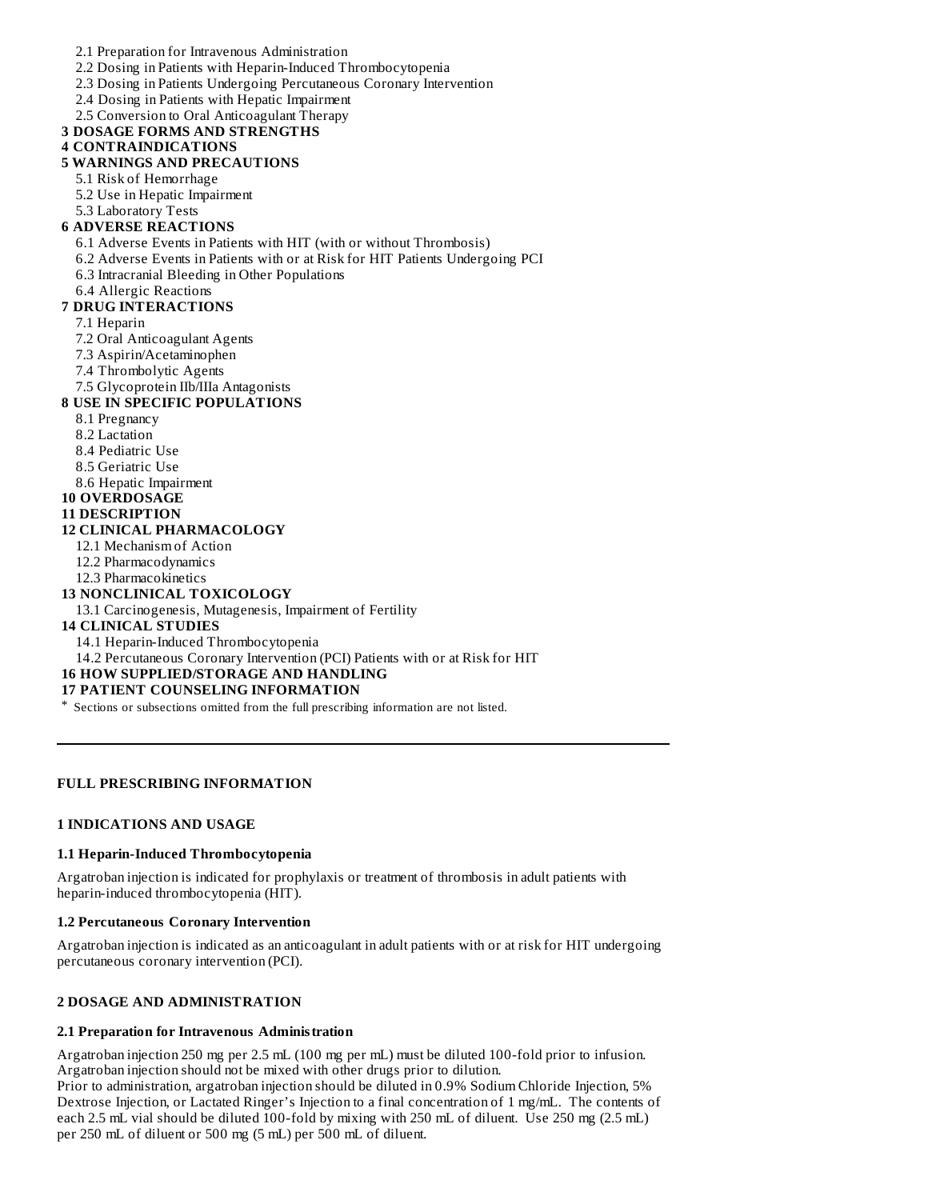- 2.1 Preparation for Intravenous Administration
- 2.2 Dosing in Patients with Heparin-Induced Thrombocytopenia
- 2.3 Dosing in Patients Undergoing Percutaneous Coronary Intervention
- 2.4 Dosing in Patients with Hepatic Impairment
- 2.5 Conversion to Oral Anticoagulant Therapy

# **3 DOSAGE FORMS AND STRENGTHS**

# **4 CONTRAINDICATIONS**

# **5 WARNINGS AND PRECAUTIONS**

- 5.1 Risk of Hemorrhage
- 5.2 Use in Hepatic Impairment
- 5.3 Laboratory Tests

# **6 ADVERSE REACTIONS**

- 6.1 Adverse Events in Patients with HIT (with or without Thrombosis)
- 6.2 Adverse Events in Patients with or at Risk for HIT Patients Undergoing PCI
- 6.3 Intracranial Bleeding in Other Populations
- 6.4 Allergic Reactions

# **7 DRUG INTERACTIONS**

- 7.1 Heparin
- 7.2 Oral Anticoagulant Agents
- 7.3 Aspirin/Acetaminophen
- 7.4 Thrombolytic Agents
- 7.5 Glycoprotein IIb/IIIa Antagonists

# **8 USE IN SPECIFIC POPULATIONS**

- 8.1 Pregnancy
- 8.2 Lactation
- 8.4 Pediatric Use
- 8.5 Geriatric Use
- 8.6 Hepatic Impairment
- **10 OVERDOSAGE**

#### **11 DESCRIPTION**

#### **12 CLINICAL PHARMACOLOGY**

- 12.1 Mechanism of Action
- 12.2 Pharmacodynamics
- 12.3 Pharmacokinetics

# **13 NONCLINICAL TOXICOLOGY**

13.1 Carcinogenesis, Mutagenesis, Impairment of Fertility

# **14 CLINICAL STUDIES**

- 14.1 Heparin-Induced Thrombocytopenia
- 14.2 Percutaneous Coronary Intervention (PCI) Patients with or at Risk for HIT

# **16 HOW SUPPLIED/STORAGE AND HANDLING**

# **17 PATIENT COUNSELING INFORMATION**

\* Sections or subsections omitted from the full prescribing information are not listed.

# **FULL PRESCRIBING INFORMATION**

# **1 INDICATIONS AND USAGE**

# **1.1 Heparin-Induced Thrombocytopenia**

Argatroban injection is indicated for prophylaxis or treatment of thrombosis in adult patients with heparin-induced thrombocytopenia (HIT).

# **1.2 Percutaneous Coronary Intervention**

Argatroban injection is indicated as an anticoagulant in adult patients with or at risk for HIT undergoing percutaneous coronary intervention (PCI).

# **2 DOSAGE AND ADMINISTRATION**

# **2.1 Preparation for Intravenous Administration**

Argatroban injection 250 mg per 2.5 mL (100 mg per mL) must be diluted 100-fold prior to infusion. Argatroban injection should not be mixed with other drugs prior to dilution.

Prior to administration, argatroban injection should be diluted in 0.9% Sodium Chloride Injection, 5% Dextrose Injection, or Lactated Ringer's Injection to a final concentration of 1 mg/mL. The contents of each 2.5 mL vial should be diluted 100-fold by mixing with 250 mL of diluent. Use 250 mg (2.5 mL) per 250 mL of diluent or 500 mg (5 mL) per 500 mL of diluent.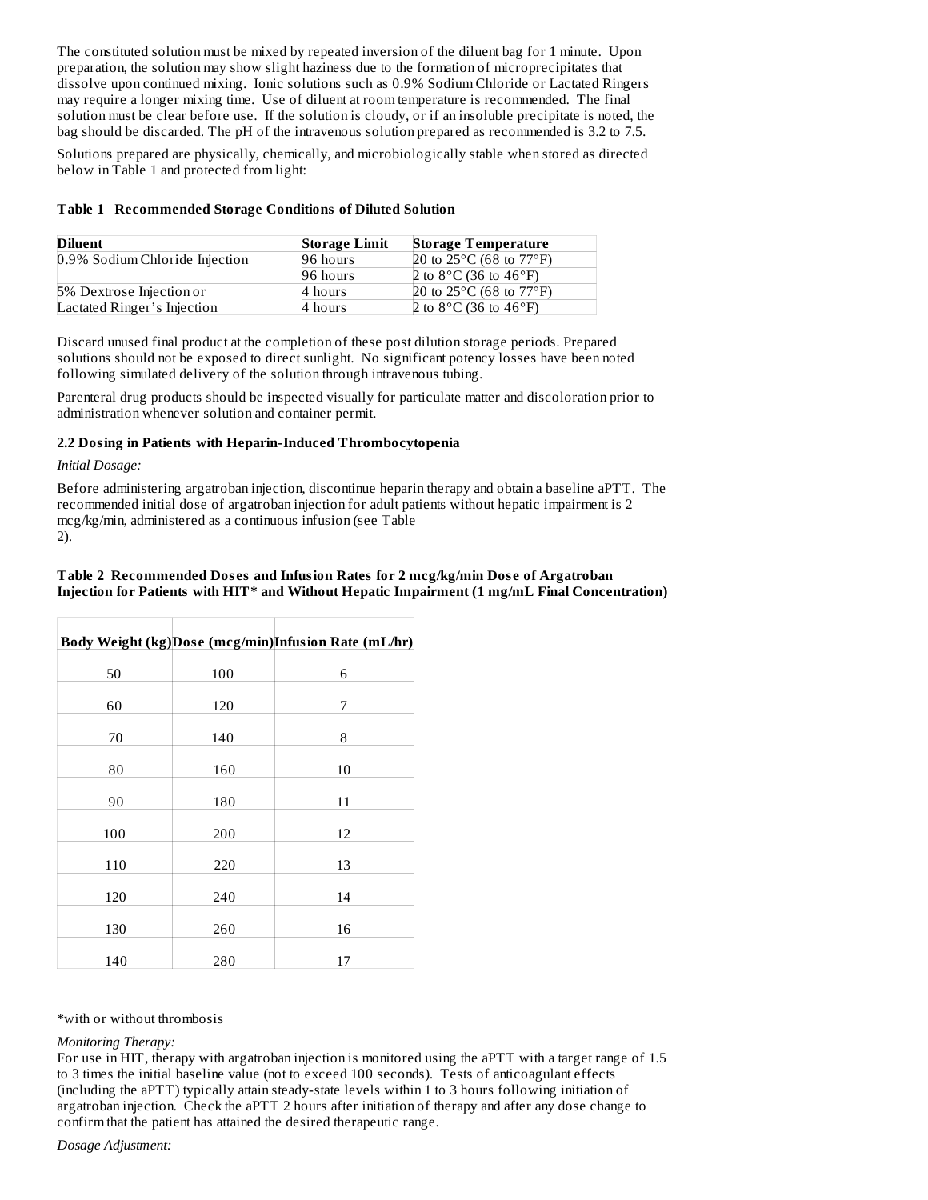The constituted solution must be mixed by repeated inversion of the diluent bag for 1 minute. Upon preparation, the solution may show slight haziness due to the formation of microprecipitates that dissolve upon continued mixing. Ionic solutions such as 0.9% Sodium Chloride or Lactated Ringers may require a longer mixing time. Use of diluent at room temperature is recommended. The final solution must be clear before use. If the solution is cloudy, or if an insoluble precipitate is noted, the bag should be discarded. The pH of the intravenous solution prepared as recommended is 3.2 to 7.5.

Solutions prepared are physically, chemically, and microbiologically stable when stored as directed below in Table 1 and protected from light:

# **Table 1 Recommended Storage Conditions of Diluted Solution**

| Diluent                        | <b>Storage Limit</b> | <b>Storage Temperature</b>                  |
|--------------------------------|----------------------|---------------------------------------------|
| 0.9% Sodium Chloride Injection | 96 hours             | 20 to $25^{\circ}$ C (68 to $77^{\circ}$ F) |
|                                | 96 hours             | 2 to 8 °C (36 to 46 °F)                     |
| 5% Dextrose Injection or       | 4 hours              | 20 to $25^{\circ}$ C (68 to $77^{\circ}$ F) |
| Lactated Ringer's Injection    | 4 hours              | 2 to 8 °C (36 to 46 °F)                     |

Discard unused final product at the completion of these post dilution storage periods. Prepared solutions should not be exposed to direct sunlight. No significant potency losses have been noted following simulated delivery of the solution through intravenous tubing.

Parenteral drug products should be inspected visually for particulate matter and discoloration prior to administration whenever solution and container permit.

# **2.2 Dosing in Patients with Heparin-Induced Thrombocytopenia**

*Initial Dosage:*

Before administering argatroban injection, discontinue heparin therapy and obtain a baseline aPTT. The recommended initial dose of argatroban injection for adult patients without hepatic impairment is 2 mcg/kg/min, administered as a continuous infusion (see Table 2).

# **Table 2 Recommended Dos es and Infusion Rates for 2 mcg/kg/min Dos e of Argatroban Injection for Patients with HIT\* and Without Hepatic Impairment (1 mg/mL Final Concentration)**

|     |     | Body Weight (kg)Dose (mcg/min)Infusion Rate (mL/hr) |
|-----|-----|-----------------------------------------------------|
| 50  | 100 | 6                                                   |
| 60  | 120 | 7                                                   |
| 70  | 140 | 8                                                   |
| 80  | 160 | 10                                                  |
| 90  | 180 | 11                                                  |
| 100 | 200 | 12                                                  |
| 110 | 220 | 13                                                  |
| 120 | 240 | 14                                                  |
| 130 | 260 | 16                                                  |
| 140 | 280 | 17                                                  |

\*with or without thrombosis

#### *Monitoring Therapy:*

For use in HIT, therapy with argatroban injection is monitored using the aPTT with a target range of 1.5 to 3 times the initial baseline value (not to exceed 100 seconds). Tests of anticoagulant effects (including the aPTT) typically attain steady-state levels within 1 to 3 hours following initiation of argatroban injection. Check the aPTT 2 hours after initiation of therapy and after any dose change to confirm that the patient has attained the desired therapeutic range.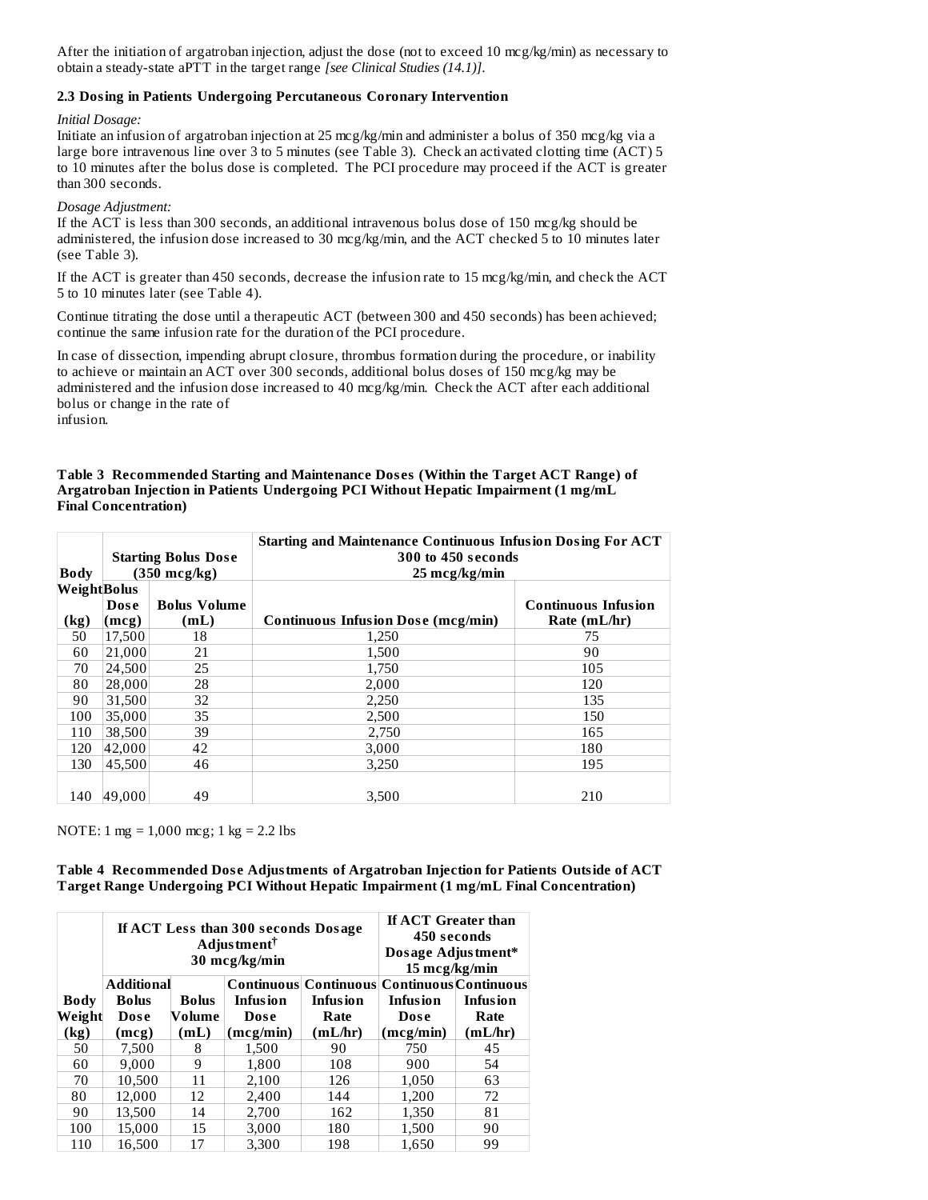After the initiation of argatroban injection, adjust the dose (not to exceed 10 mcg/kg/min) as necessary to obtain a steady-state aPTT in the target range *[see Clinical Studies (14.1)]*.

# **2.3 Dosing in Patients Undergoing Percutaneous Coronary Intervention**

*Initial Dosage:*

Initiate an infusion of argatroban injection at 25 mcg/kg/min and administer a bolus of 350 mcg/kg via a large bore intravenous line over 3 to 5 minutes (see Table 3). Check an activated clotting time (ACT) 5 to 10 minutes after the bolus dose is completed. The PCI procedure may proceed if the ACT is greater than 300 seconds.

*Dosage Adjustment:*

If the ACT is less than 300 seconds, an additional intravenous bolus dose of 150 mcg/kg should be administered, the infusion dose increased to 30 mcg/kg/min, and the ACT checked 5 to 10 minutes later (see Table 3).

If the ACT is greater than 450 seconds, decrease the infusion rate to 15 mcg/kg/min, and check the ACT 5 to 10 minutes later (see Table 4).

Continue titrating the dose until a therapeutic ACT (between 300 and 450 seconds) has been achieved; continue the same infusion rate for the duration of the PCI procedure.

In case of dissection, impending abrupt closure, thrombus formation during the procedure, or inability to achieve or maintain an ACT over 300 seconds, additional bolus doses of 150 mcg/kg may be administered and the infusion dose increased to 40 mcg/kg/min. Check the ACT after each additional bolus or change in the rate of infusion.

| Table 3 Recommended Starting and Maintenance Doses (Within the Target ACT Range) of |
|-------------------------------------------------------------------------------------|
| Argatroban Injection in Patients Undergoing PCI Without Hepatic Impairment (1 mg/mL |
| Final Concentration)                                                                |

| <b>Body</b>         | <b>Starting Bolus Dose</b><br>$(350 \text{ mcg/kg})$ |                             | <b>Starting and Maintenance Continuous Infusion Dosing For ACT</b><br>300 to 450 seconds<br>$25 \text{~mcg/kg/min}$ |                                            |  |
|---------------------|------------------------------------------------------|-----------------------------|---------------------------------------------------------------------------------------------------------------------|--------------------------------------------|--|
| WeightBolus<br>(kg) | Dose<br>(mcg)                                        | <b>Bolus Volume</b><br>(mL) | Continuous Infusion Dose (mcg/min)                                                                                  | <b>Continuous Infusion</b><br>Rate (mL/hr) |  |
| 50                  | 17,500                                               | 18                          | 1,250                                                                                                               | 75                                         |  |
| 60                  | 21,000                                               | 21                          | 1,500                                                                                                               | 90                                         |  |
| 70                  | 24,500                                               | 25                          | 1,750                                                                                                               | 105                                        |  |
| 80                  | 28,000                                               | 28                          | 2,000                                                                                                               | 120                                        |  |
| 90                  | 31,500                                               | 32                          | 2,250                                                                                                               | 135                                        |  |
| 100                 | 35,000                                               | 35                          | 2,500                                                                                                               | 150                                        |  |
| 110                 | 38,500                                               | 39                          | 2,750                                                                                                               | 165                                        |  |
| 120                 | 42,000                                               | 42                          | 3,000                                                                                                               | 180                                        |  |
| 130                 | 45,500                                               | 46                          | 3,250                                                                                                               | 195                                        |  |
| 140                 | 49.000                                               | 49                          | 3.500                                                                                                               | 210                                        |  |

NOTE: 1 mg = 1,000 mcg; 1 kg = 2.2 lbs

**Table 4 Recommended Dos e Adjustments of Argatroban Injection for Patients Outside of ACT Target Range Undergoing PCI Without Hepatic Impairment (1 mg/mL Final Concentration)**

|             | If ACT Less than 300 seconds Dosage<br>Adjustment <sup>†</sup><br>30 mcg/kg/min |              |                 | <b>If ACT Greater than</b><br>450 seconds<br>Dosage Adjustment*<br>15 mcg/kg/min |                 |                 |
|-------------|---------------------------------------------------------------------------------|--------------|-----------------|----------------------------------------------------------------------------------|-----------------|-----------------|
|             | <b>Additional</b>                                                               |              |                 | <b>Continuous Continuous Continuous Continuous</b>                               |                 |                 |
| <b>Body</b> | <b>Bolus</b>                                                                    | <b>Bolus</b> | <b>Infusion</b> | <b>Infusion</b>                                                                  | <b>Infusion</b> | <b>Infusion</b> |
| Weight      | <b>Dose</b>                                                                     | Volume       | Dose            | Rate                                                                             | Dose            | Rate            |
| (kg)        | (mcg)                                                                           | (mL)         | (mcg/min)       | (mL/hr)                                                                          | (mcg/min)       | (mL/hr)         |
| 50          | 7,500                                                                           | 8            | 1,500           | 90                                                                               | 750             | 45              |
| 60          | 9.000                                                                           | 9            | 1,800           | 108                                                                              | 900             | 54              |
| 70          | 10.500                                                                          | 11           | 2,100           | 126                                                                              | 1,050           | 63              |
| 80          | 12.000                                                                          | 12           | 2,400           | 144                                                                              | 1,200           | 72              |
| 90          | 13.500                                                                          | 14           | 2.700           | 162                                                                              | 1.350           | 81              |
| 100         | 15.000                                                                          | 15           | 3.000           | 180                                                                              | 1,500           | 90              |
| 110         | 16.500                                                                          | 17           | 3.300           | 198                                                                              | 1.650           | 99              |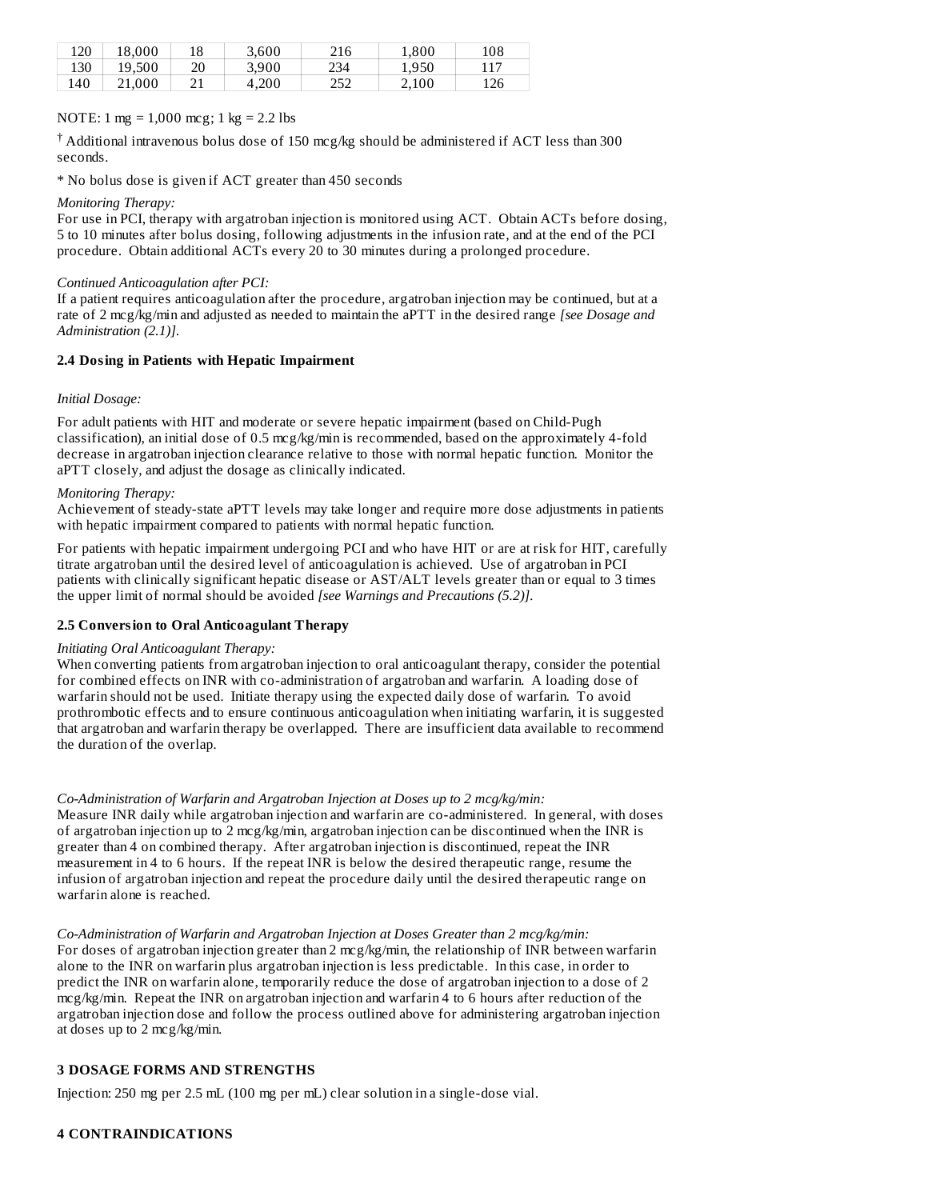| 120 | 18.000 | 18         | 3.600 | 216        | 1.800 | 108 |
|-----|--------|------------|-------|------------|-------|-----|
| 130 | 19.500 | 20         | 3.900 | 234        | 1,950 | 117 |
| 140 | 21.000 | <u>- 1</u> | 4.200 | つちつ<br>ے ت | 2.100 | 126 |

# NOTE: 1 mg = 1,000 mcg; 1 kg = 2.2 lbs

 $\dagger$  Additional intravenous bolus dose of 150 mcg/kg should be administered if ACT less than 300 seconds.

\* No bolus dose is given if ACT greater than 450 seconds

# *Monitoring Therapy:*

For use in PCI, therapy with argatroban injection is monitored using ACT. Obtain ACTs before dosing, 5 to 10 minutes after bolus dosing, following adjustments in the infusion rate, and at the end of the PCI procedure. Obtain additional ACTs every 20 to 30 minutes during a prolonged procedure.

# *Continued Anticoagulation after PCI:*

If a patient requires anticoagulation after the procedure, argatroban injection may be continued, but at a rate of 2 mcg/kg/min and adjusted as needed to maintain the aPTT in the desired range *[see Dosage and Administration (2.1)]*.

# **2.4 Dosing in Patients with Hepatic Impairment**

# *Initial Dosage:*

For adult patients with HIT and moderate or severe hepatic impairment (based on Child-Pugh classification), an initial dose of 0.5 mcg/kg/min is recommended, based on the approximately 4-fold decrease in argatroban injection clearance relative to those with normal hepatic function. Monitor the aPTT closely, and adjust the dosage as clinically indicated.

# *Monitoring Therapy:*

Achievement of steady-state aPTT levels may take longer and require more dose adjustments in patients with hepatic impairment compared to patients with normal hepatic function.

For patients with hepatic impairment undergoing PCI and who have HIT or are at risk for HIT, carefully titrate argatroban until the desired level of anticoagulation is achieved. Use of argatroban in PCI patients with clinically significant hepatic disease or AST/ALT levels greater than or equal to 3 times the upper limit of normal should be avoided *[see Warnings and Precautions (5.2)]*.

# **2.5 Conversion to Oral Anticoagulant Therapy**

*Initiating Oral Anticoagulant Therapy:*

When converting patients from argatroban injection to oral anticoagulant therapy, consider the potential for combined effects on INR with co-administration of argatroban and warfarin. A loading dose of warfarin should not be used. Initiate therapy using the expected daily dose of warfarin. To avoid prothrombotic effects and to ensure continuous anticoagulation when initiating warfarin, it is suggested that argatroban and warfarin therapy be overlapped. There are insufficient data available to recommend the duration of the overlap.

*Co-Administration of Warfarin and Argatroban Injection at Doses up to 2 mcg/kg/min:* Measure INR daily while argatroban injection and warfarin are co-administered. In general, with doses of argatroban injection up to 2 mcg/kg/min, argatroban injection can be discontinued when the INR is greater than 4 on combined therapy. After argatroban injection is discontinued, repeat the INR measurement in 4 to 6 hours. If the repeat INR is below the desired therapeutic range, resume the infusion of argatroban injection and repeat the procedure daily until the desired therapeutic range on warfarin alone is reached.

*Co-Administration of Warfarin and Argatroban Injection at Doses Greater than 2 mcg/kg/min:* For doses of argatroban injection greater than 2 mcg/kg/min, the relationship of INR between warfarin alone to the INR on warfarin plus argatroban injection is less predictable. In this case, in order to predict the INR on warfarin alone, temporarily reduce the dose of argatroban injection to a dose of 2 mcg/kg/min. Repeat the INR on argatroban injection and warfarin 4 to 6 hours after reduction of the argatroban injection dose and follow the process outlined above for administering argatroban injection at doses up to 2 mcg/kg/min.

# **3 DOSAGE FORMS AND STRENGTHS**

Injection: 250 mg per 2.5 mL (100 mg per mL) clear solution in a single-dose vial.

# **4 CONTRAINDICATIONS**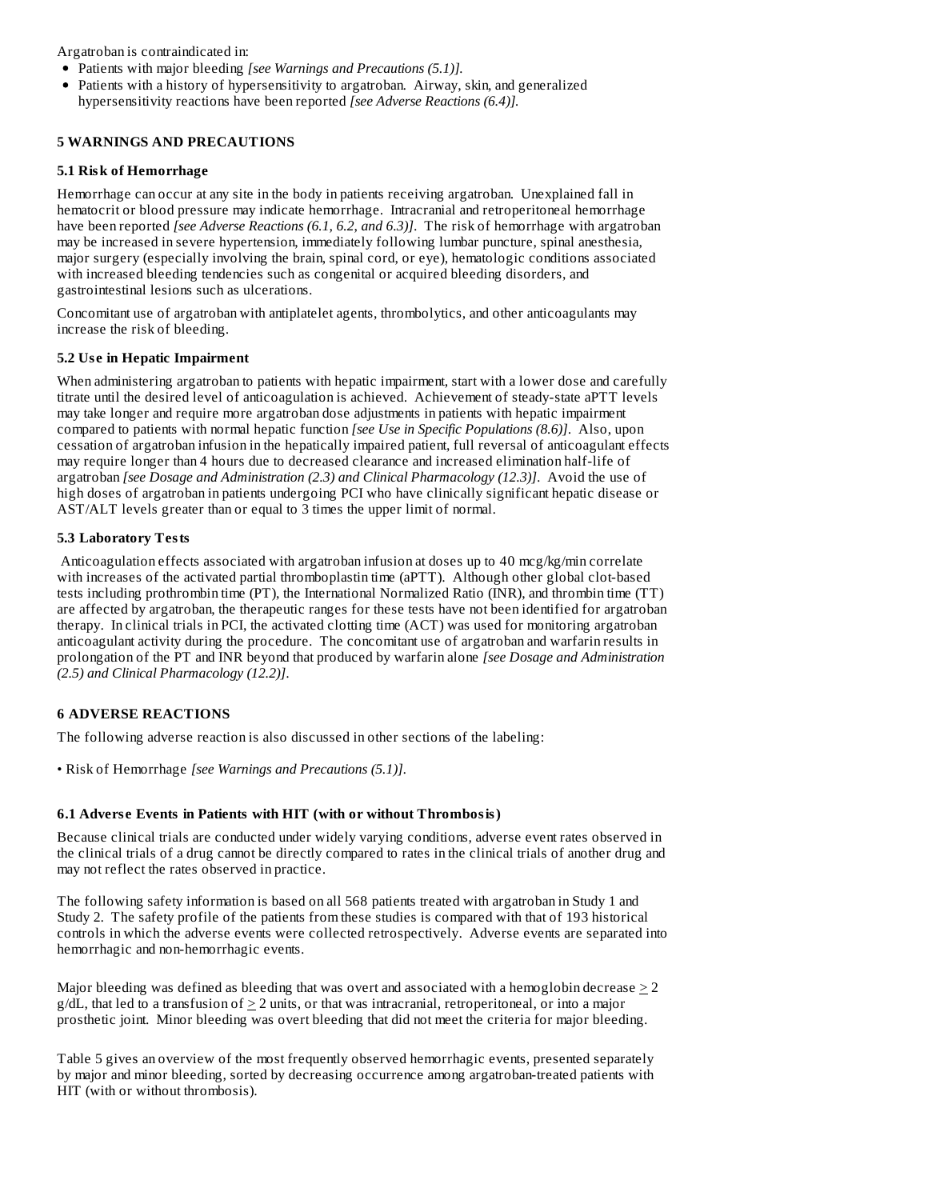Argatroban is contraindicated in:

- Patients with major bleeding *[see Warnings and Precautions (5.1)].*
- Patients with a history of hypersensitivity to argatroban. Airway, skin, and generalized hypersensitivity reactions have been reported *[see Adverse Reactions (6.4)].*

# **5 WARNINGS AND PRECAUTIONS**

# **5.1 Risk of Hemorrhage**

Hemorrhage can occur at any site in the body in patients receiving argatroban. Unexplained fall in hematocrit or blood pressure may indicate hemorrhage. Intracranial and retroperitoneal hemorrhage have been reported *[see Adverse Reactions (6.1, 6.2*, *and 6.3)]*. The risk of hemorrhage with argatroban may be increased in severe hypertension, immediately following lumbar puncture, spinal anesthesia, major surgery (especially involving the brain, spinal cord, or eye), hematologic conditions associated with increased bleeding tendencies such as congenital or acquired bleeding disorders, and gastrointestinal lesions such as ulcerations.

Concomitant use of argatroban with antiplatelet agents, thrombolytics, and other anticoagulants may increase the risk of bleeding.

# **5.2 Us e in Hepatic Impairment**

When administering argatroban to patients with hepatic impairment, start with a lower dose and carefully titrate until the desired level of anticoagulation is achieved. Achievement of steady-state aPTT levels may take longer and require more argatroban dose adjustments in patients with hepatic impairment compared to patients with normal hepatic function *[see Use in Specific Populations (8.6)]*. Also, upon cessation of argatroban infusion in the hepatically impaired patient, full reversal of anticoagulant effects may require longer than 4 hours due to decreased clearance and increased elimination half-life of argatroban *[see Dosage and Administration (2.3) and Clinical Pharmacology (12.3)]*. Avoid the use of high doses of argatroban in patients undergoing PCI who have clinically significant hepatic disease or AST/ALT levels greater than or equal to 3 times the upper limit of normal.

# **5.3 Laboratory Tests**

Anticoagulation effects associated with argatroban infusion at doses up to 40 mcg/kg/min correlate with increases of the activated partial thromboplastin time (aPTT). Although other global clot-based tests including prothrombin time (PT), the International Normalized Ratio (INR), and thrombin time (TT) are affected by argatroban, the therapeutic ranges for these tests have not been identified for argatroban therapy. In clinical trials in PCI, the activated clotting time (ACT) was used for monitoring argatroban anticoagulant activity during the procedure. The concomitant use of argatroban and warfarin results in prolongation of the PT and INR beyond that produced by warfarin alone *[see Dosage and Administration (2.5) and Clinical Pharmacology (12.2)]*.

# **6 ADVERSE REACTIONS**

The following adverse reaction is also discussed in other sections of the labeling:

• Risk of Hemorrhage *[see Warnings and Precautions (5.1)]*.

# **6.1 Advers e Events in Patients with HIT (with or without Thrombosis)**

Because clinical trials are conducted under widely varying conditions, adverse event rates observed in the clinical trials of a drug cannot be directly compared to rates in the clinical trials of another drug and may not reflect the rates observed in practice.

The following safety information is based on all 568 patients treated with argatroban in Study 1 and Study 2. The safety profile of the patients from these studies is compared with that of 193 historical controls in which the adverse events were collected retrospectively. Adverse events are separated into hemorrhagic and non-hemorrhagic events.

Major bleeding was defined as bleeding that was overt and associated with a hemoglobin decrease  $\geq$  2  $g/dL$ , that led to a transfusion of  $\geq 2$  units, or that was intracranial, retroperitoneal, or into a major prosthetic joint. Minor bleeding was overt bleeding that did not meet the criteria for major bleeding.

Table 5 gives an overview of the most frequently observed hemorrhagic events, presented separately by major and minor bleeding, sorted by decreasing occurrence among argatroban-treated patients with HIT (with or without thrombosis).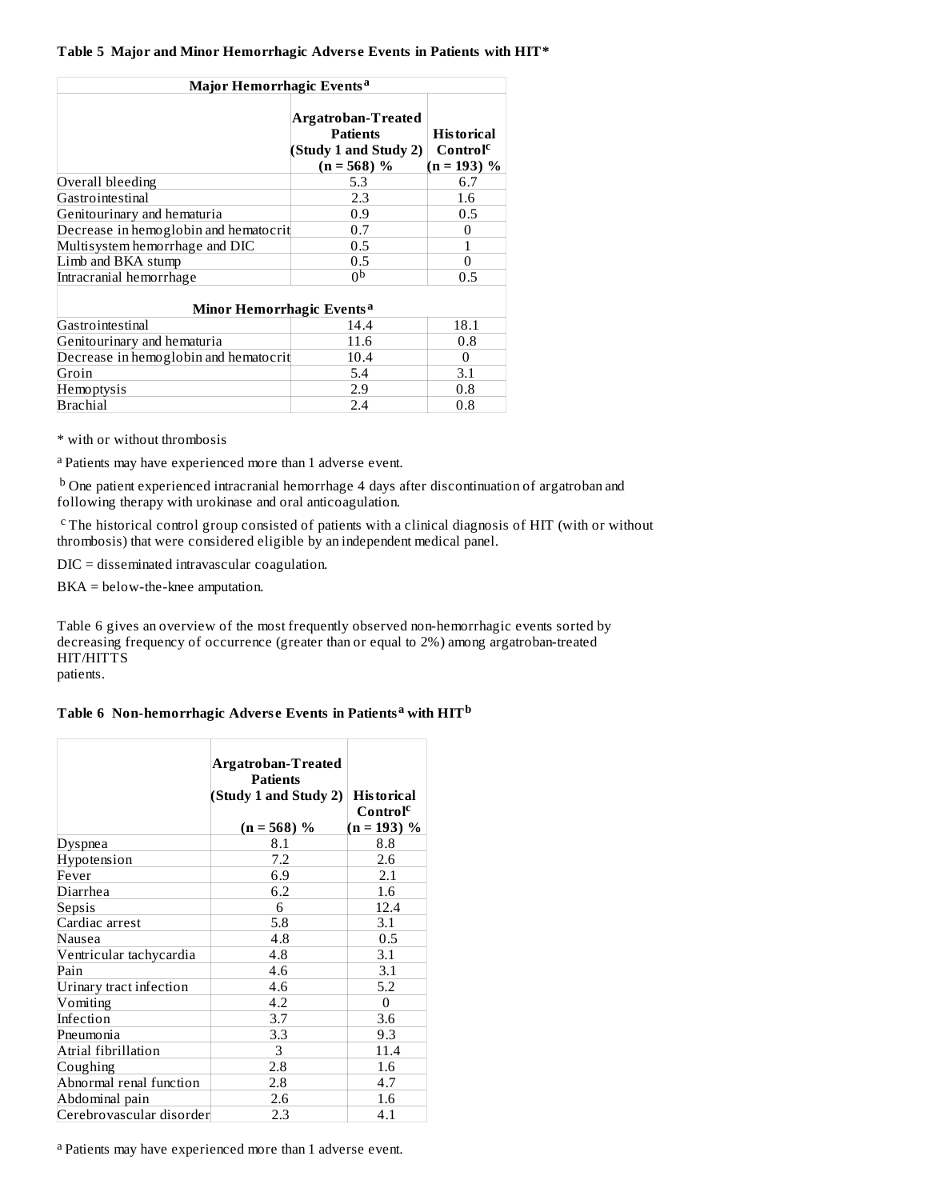# **Table 5 Major and Minor Hemorrhagic Advers e Events in Patients with HIT\***

| Major Hemorrhagic Events <sup>a</sup> |                                                                                 |                                                            |  |  |
|---------------------------------------|---------------------------------------------------------------------------------|------------------------------------------------------------|--|--|
|                                       | Argatroban-Treated<br><b>Patients</b><br>(Study 1 and Study 2)<br>$(n = 568) %$ | <b>Historical</b><br>Control <sup>c</sup><br>$(n = 193)$ % |  |  |
| Overall bleeding                      | 5.3                                                                             | 6.7                                                        |  |  |
| Gastrointestinal                      | 2.3                                                                             | 1.6                                                        |  |  |
| Genitourinary and hematuria           | 0.9                                                                             | 0.5                                                        |  |  |
| Decrease in hemoglobin and hematocrit | 0.7                                                                             | 0                                                          |  |  |
| Multisystem hemorrhage and DIC        | 0.5                                                                             |                                                            |  |  |
| Limb and BKA stump                    | 0.5                                                                             | 0                                                          |  |  |
| Intracranial hemorrhage               | 0p                                                                              | 0.5                                                        |  |  |
| Minor Hemorrhagic Events <sup>a</sup> |                                                                                 |                                                            |  |  |
| Gastrointestinal                      | 14.4                                                                            | 18.1                                                       |  |  |
| Genitourinary and hematuria           | 11.6                                                                            | 0.8                                                        |  |  |
| Decrease in hemoglobin and hematocrit | 10.4                                                                            | 0                                                          |  |  |
| Groin                                 | 5.4                                                                             | 3.1                                                        |  |  |
| Hemoptysis                            | 2.9                                                                             | 0.8                                                        |  |  |
| Brachial                              | 2.4                                                                             | 0.8                                                        |  |  |

\* with or without thrombosis

<sup>a</sup> Patients may have experienced more than 1 adverse event.

 $^{\rm b}$  One patient experienced intracranial hemorrhage 4 days after discontinuation of argatroban and following therapy with urokinase and oral anticoagulation.

<sup>c</sup> The historical control group consisted of patients with a clinical diagnosis of HIT (with or without thrombosis) that were considered eligible by an independent medical panel.

DIC = disseminated intravascular coagulation.

BKA = below-the-knee amputation.

Table 6 gives an overview of the most frequently observed non-hemorrhagic events sorted by decreasing frequency of occurrence (greater than or equal to 2%) among argatroban-treated HIT/HITTS

patients.

# **Table 6 Non-hemorrhagic Advers e Events in Patients with HIT a b**

|                          | Argatroban-Treated<br><b>Patients</b><br>(Study 1 and Study 2)<br>$(n = 568) %$ | <b>Historical</b><br>Control <sup>c</sup><br>$(n = 193) %$ |
|--------------------------|---------------------------------------------------------------------------------|------------------------------------------------------------|
| Dyspnea                  | 8.1                                                                             | 8.8                                                        |
| Hypotension              | 7.2                                                                             | 2.6                                                        |
| Fever                    | 6.9                                                                             | 2.1                                                        |
| Diarrhea                 | 6.2                                                                             | 1.6                                                        |
| Sepsis                   | 6                                                                               | 12.4                                                       |
| Cardiac arrest           | 5.8                                                                             | 3.1                                                        |
| Nausea                   | 4.8                                                                             | 0.5                                                        |
| Ventricular tachycardia  | 4.8                                                                             | 3.1                                                        |
| Pain                     | 4.6                                                                             | 3.1                                                        |
| Urinary tract infection  | 4.6                                                                             | 5.2                                                        |
| Vomiting                 | 4.2                                                                             | $\Omega$                                                   |
| Infection                | 3.7                                                                             | 3.6                                                        |
| Pneumonia                | 3.3                                                                             | 9.3                                                        |
| Atrial fibrillation      | 3                                                                               | 11.4                                                       |
| Coughing                 | 2.8                                                                             | 1.6                                                        |
| Abnormal renal function  | 2.8                                                                             | 4.7                                                        |
| Abdominal pain           | 2.6                                                                             | 1.6                                                        |
| Cerebrovascular disorder | 2.3                                                                             | 4.1                                                        |

<sup>a</sup> Patients may have experienced more than 1 adverse event.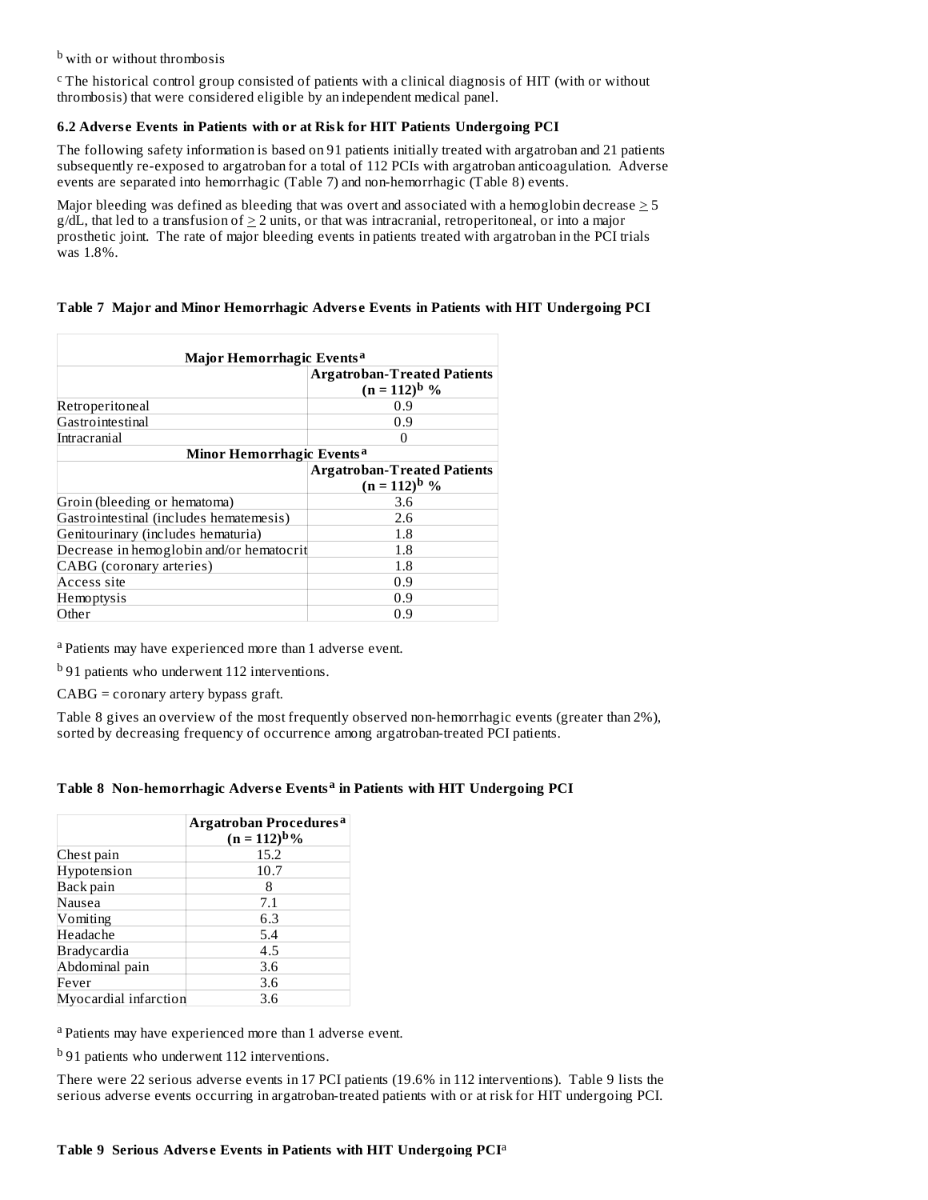<sup>b</sup> with or without thrombosis

 $c$ The historical control group consisted of patients with a clinical diagnosis of HIT (with or without thrombosis) that were considered eligible by an independent medical panel.

# **6.2 Advers e Events in Patients with or at Risk for HIT Patients Undergoing PCI**

The following safety information is based on 91 patients initially treated with argatroban and 21 patients subsequently re-exposed to argatroban for a total of 112 PCIs with argatroban anticoagulation. Adverse events are separated into hemorrhagic (Table 7) and non-hemorrhagic (Table 8) events.

Major bleeding was defined as bleeding that was overt and associated with a hemoglobin decrease  $>5$  $g/dL$ , that led to a transfusion of  $\geq 2$  units, or that was intracranial, retroperitoneal, or into a major prosthetic joint. The rate of major bleeding events in patients treated with argatroban in the PCI trials was 1.8%.

# **Table 7 Major and Minor Hemorrhagic Advers e Events in Patients with HIT Undergoing PCI**

| Major Hemorrhagic Events <sup>a</sup>    |                                                         |  |  |  |
|------------------------------------------|---------------------------------------------------------|--|--|--|
|                                          | <b>Argatroban-Treated Patients</b><br>$(n = 112)^{b}$ % |  |  |  |
| Retroperitoneal                          | 0.9                                                     |  |  |  |
| Gastrointestinal                         | 0.9                                                     |  |  |  |
| Intracranial                             |                                                         |  |  |  |
| Minor Hemorrhagic Events <sup>a</sup>    |                                                         |  |  |  |
|                                          | <b>Argatroban-Treated Patients</b>                      |  |  |  |
|                                          | $(n = 112)^{b}$ %                                       |  |  |  |
| Groin (bleeding or hematoma)             | 3.6                                                     |  |  |  |
| Gastrointestinal (includes hematemesis)  | 2.6                                                     |  |  |  |
| Genitourinary (includes hematuria)       | 1.8                                                     |  |  |  |
| Decrease in hemoglobin and/or hematocrit | 1.8                                                     |  |  |  |
| CABG (coronary arteries)                 | $1.8\,$                                                 |  |  |  |
| Access site                              | 0.9                                                     |  |  |  |
| Hemoptysis                               | 0.9                                                     |  |  |  |
| Other                                    | 0.9                                                     |  |  |  |

<sup>a</sup> Patients may have experienced more than 1 adverse event.

<sup>b</sup> 91 patients who underwent 112 interventions.

CABG = coronary artery bypass graft.

Table 8 gives an overview of the most frequently observed non-hemorrhagic events (greater than 2%), sorted by decreasing frequency of occurrence among argatroban-treated PCI patients.

# **Table 8 Non-hemorrhagic Advers e Events in Patients with HIT Undergoing PCI a**

|                       | Argatroban Procedures <sup>a</sup><br>$(n = 112)^{b}\%$ |
|-----------------------|---------------------------------------------------------|
| Chest pain            | 15.2                                                    |
| Hypotension           | 10.7                                                    |
| Back pain             |                                                         |
| Nausea                | 7.1                                                     |
| Vomiting              | 6.3                                                     |
| Headache              | 5.4                                                     |
| Bradycardia           | 4.5                                                     |
| Abdominal pain        | 3.6                                                     |
| Fever                 | 3.6                                                     |
| Myocardial infarction | 3.6                                                     |

<sup>a</sup> Patients may have experienced more than 1 adverse event.

<sup>b</sup> 91 patients who underwent 112 interventions.

There were 22 serious adverse events in 17 PCI patients (19.6% in 112 interventions). Table 9 lists the serious adverse events occurring in argatroban-treated patients with or at risk for HIT undergoing PCI.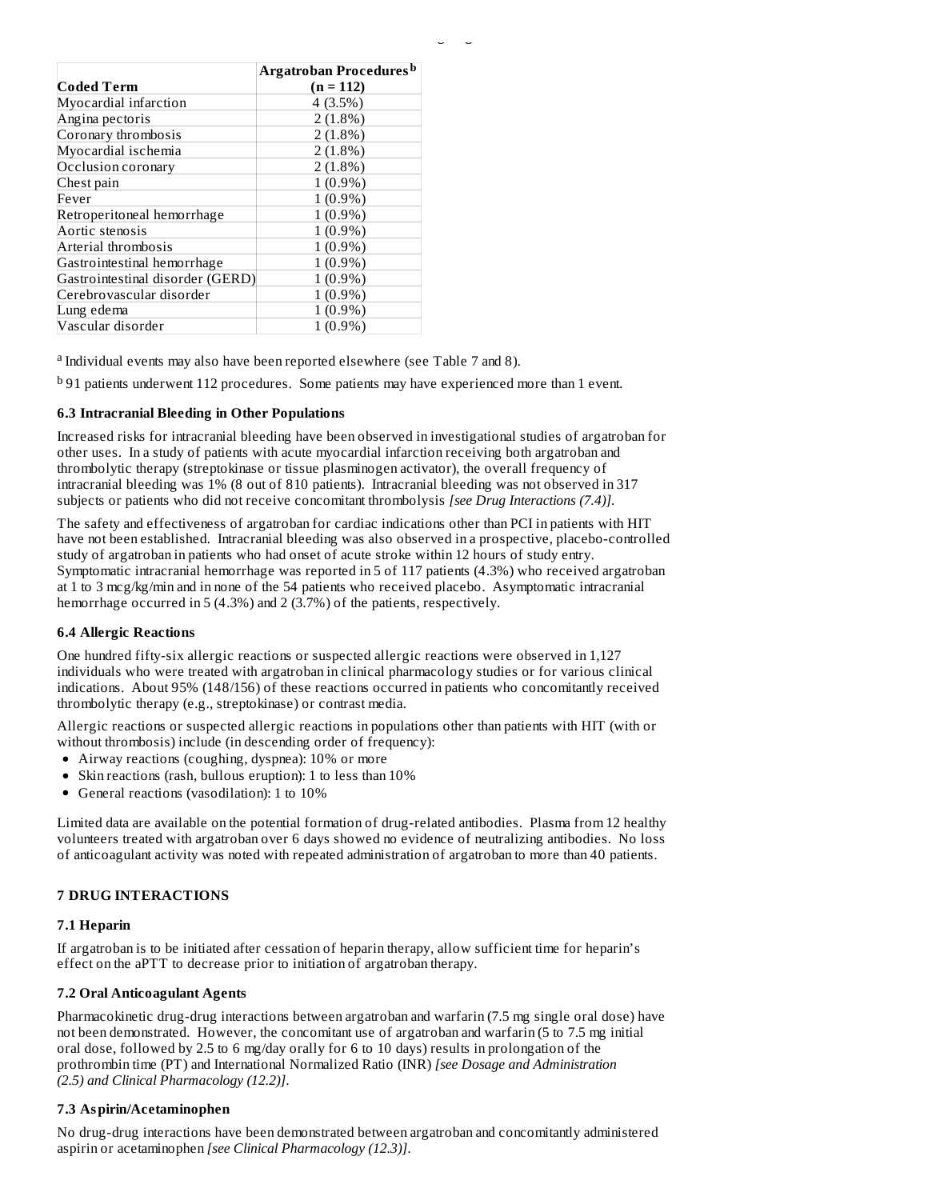|                                  | Argatroban Procedures <sup>b</sup> |
|----------------------------------|------------------------------------|
| Coded Term                       | $(n = 112)$                        |
| Myocardial infarction            | 4(3.5%)                            |
| Angina pectoris                  | $2(1.8\%)$                         |
| Coronary thrombosis              | $2(1.8\%)$                         |
| Myocardial ischemia              | $2(1.8\%)$                         |
| Occlusion coronary               | $2(1.8\%)$                         |
| Chest pain                       | $1(0.9\%)$                         |
| Fever                            | $1(0.9\%)$                         |
| Retroperitoneal hemorrhage       | $1(0.9\%)$                         |
| Aortic stenosis                  | $1(0.9\%)$                         |
| Arterial thrombosis              | $1(0.9\%)$                         |
| Gastrointestinal hemorrhage      | $1(0.9\%)$                         |
| Gastrointestinal disorder (GERD) | $(0.9\%)$                          |
| Cerebrovascular disorder         | $(0.9\%)$                          |
| Lung edema                       | $(0.9\%)$                          |
| Vascular disorder                | $(0.9\%)$                          |

<sup>a</sup> Individual events may also have been reported elsewhere (see Table 7 and 8).

<sup>b</sup> 91 patients underwent 112 procedures. Some patients may have experienced more than 1 event.

#### **6.3 Intracranial Bleeding in Other Populations**

Increased risks for intracranial bleeding have been observed in investigational studies of argatroban for other uses. In a study of patients with acute myocardial infarction receiving both argatroban and thrombolytic therapy (streptokinase or tissue plasminogen activator), the overall frequency of intracranial bleeding was 1% (8 out of 810 patients). Intracranial bleeding was not observed in 317 subjects or patients who did not receive concomitant thrombolysis *[see Drug Interactions (7.4)]*.

The safety and effectiveness of argatroban for cardiac indications other than PCI in patients with HIT have not been established. Intracranial bleeding was also observed in a prospective, placebo-controlled study of argatroban in patients who had onset of acute stroke within 12 hours of study entry. Symptomatic intracranial hemorrhage was reported in 5 of 117 patients (4.3%) who received argatroban at 1 to 3 mcg/kg/min and in none of the 54 patients who received placebo. Asymptomatic intracranial hemorrhage occurred in 5 (4.3%) and 2 (3.7%) of the patients, respectively.

#### **6.4 Allergic Reactions**

One hundred fifty-six allergic reactions or suspected allergic reactions were observed in 1,127 individuals who were treated with argatroban in clinical pharmacology studies or for various clinical indications. About 95% (148/156) of these reactions occurred in patients who concomitantly received thrombolytic therapy (e.g., streptokinase) or contrast media.

Allergic reactions or suspected allergic reactions in populations other than patients with HIT (with or without thrombosis) include (in descending order of frequency):

- Airway reactions (coughing, dyspnea): 10% or more
- Skin reactions (rash, bullous eruption): 1 to less than 10%
- General reactions (vasodilation): 1 to 10%

Limited data are available on the potential formation of drug-related antibodies. Plasma from 12 healthy volunteers treated with argatroban over 6 days showed no evidence of neutralizing antibodies. No loss of anticoagulant activity was noted with repeated administration of argatroban to more than 40 patients.

#### **7 DRUG INTERACTIONS**

#### **7.1 Heparin**

If argatroban is to be initiated after cessation of heparin therapy, allow sufficient time for heparin's effect on the aPTT to decrease prior to initiation of argatroban therapy.

#### **7.2 Oral Anticoagulant Agents**

Pharmacokinetic drug-drug interactions between argatroban and warfarin (7.5 mg single oral dose) have not been demonstrated. However, the concomitant use of argatroban and warfarin (5 to 7.5 mg initial oral dose, followed by 2.5 to 6 mg/day orally for 6 to 10 days) results in prolongation of the prothrombin time (PT) and International Normalized Ratio (INR) *[see Dosage and Administration (2.5) and Clinical Pharmacology (12.2)]*.

#### **7.3 Aspirin/Acetaminophen**

No drug-drug interactions have been demonstrated between argatroban and concomitantly administered aspirin or acetaminophen *[see Clinical Pharmacology (12.3)]*.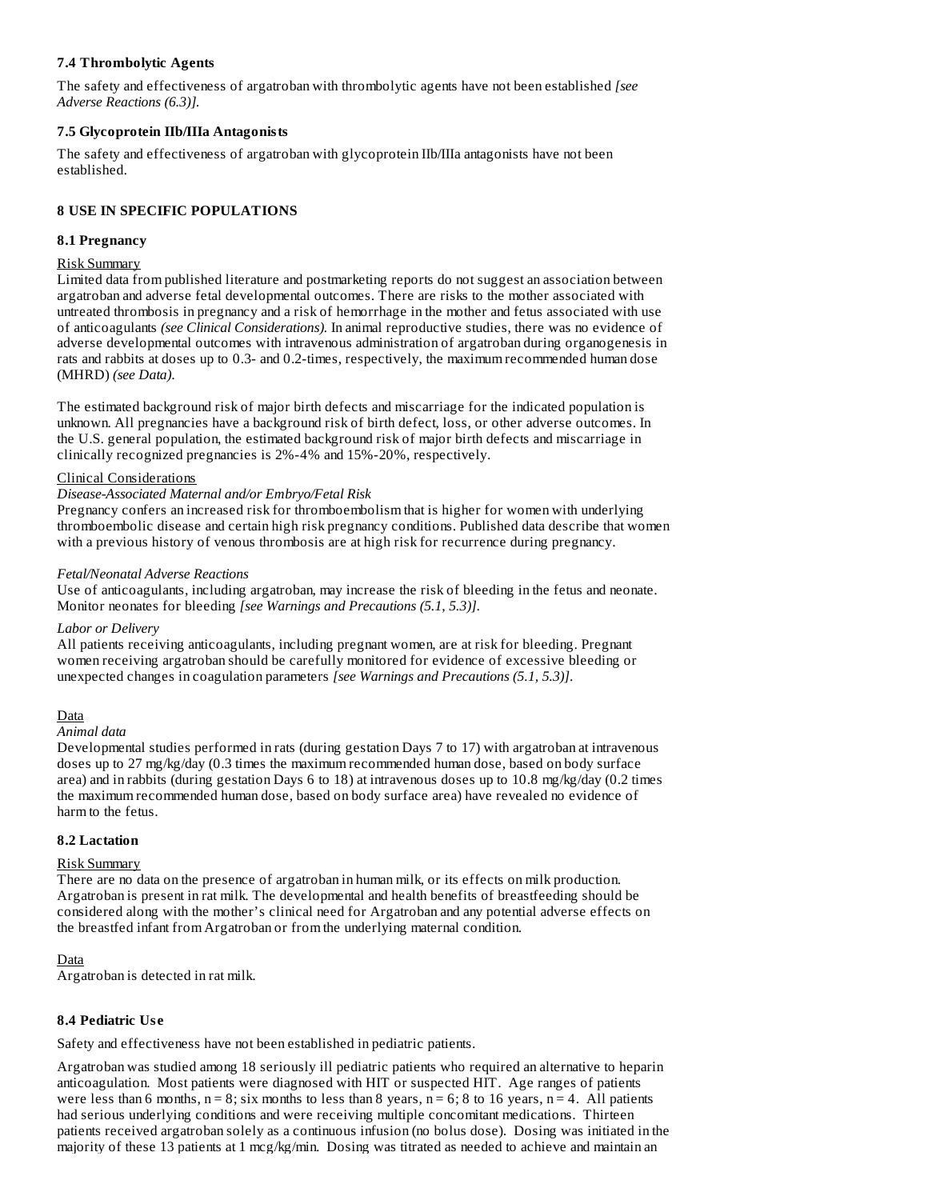# **7.4 Thrombolytic Agents**

The safety and effectiveness of argatroban with thrombolytic agents have not been established *[see Adverse Reactions (6.3)].*

# **7.5 Glycoprotein IIb/IIIa Antagonists**

The safety and effectiveness of argatroban with glycoprotein IIb/IIIa antagonists have not been established.

# **8 USE IN SPECIFIC POPULATIONS**

# **8.1 Pregnancy**

# Risk Summary

Limited data from published literature and postmarketing reports do not suggest an association between argatroban and adverse fetal developmental outcomes. There are risks to the mother associated with untreated thrombosis in pregnancy and a risk of hemorrhage in the mother and fetus associated with use of anticoagulants *(see Clinical Considerations).* In animal reproductive studies, there was no evidence of adverse developmental outcomes with intravenous administration of argatroban during organogenesis in rats and rabbits at doses up to 0.3- and 0.2-times, respectively, the maximum recommended human dose (MHRD) *(see Data)*.

The estimated background risk of major birth defects and miscarriage for the indicated population is unknown. All pregnancies have a background risk of birth defect, loss, or other adverse outcomes. In the U.S. general population, the estimated background risk of major birth defects and miscarriage in clinically recognized pregnancies is 2%-4% and 15%-20%, respectively.

# Clinical Considerations

# *Disease-Associated Maternal and/or Embryo/Fetal Risk*

Pregnancy confers an increased risk for thromboembolism that is higher for women with underlying thromboembolic disease and certain high risk pregnancy conditions. Published data describe that women with a previous history of venous thrombosis are at high risk for recurrence during pregnancy.

# *Fetal/Neonatal Adverse Reactions*

Use of anticoagulants, including argatroban, may increase the risk of bleeding in the fetus and neonate. Monitor neonates for bleeding *[see Warnings and Precautions (5.1, 5.3)]*.

# *Labor or Delivery*

All patients receiving anticoagulants, including pregnant women, are at risk for bleeding. Pregnant women receiving argatroban should be carefully monitored for evidence of excessive bleeding or unexpected changes in coagulation parameters *[see Warnings and Precautions (5.1, 5.3)]*.

# Data

*Animal data*

Developmental studies performed in rats (during gestation Days 7 to 17) with argatroban at intravenous doses up to 27 mg/kg/day (0.3 times the maximum recommended human dose, based on body surface area) and in rabbits (during gestation Days 6 to 18) at intravenous doses up to 10.8 mg/kg/day (0.2 times the maximum recommended human dose, based on body surface area) have revealed no evidence of harm to the fetus.

# **8.2 Lactation**

# Risk Summary

There are no data on the presence of argatroban in human milk, or its effects on milk production. Argatroban is present in rat milk. The developmental and health benefits of breastfeeding should be considered along with the mother's clinical need for Argatroban and any potential adverse effects on the breastfed infant from Argatroban or from the underlying maternal condition.

# Data

Argatroban is detected in rat milk.

# **8.4 Pediatric Us e**

Safety and effectiveness have not been established in pediatric patients.

Argatroban was studied among 18 seriously ill pediatric patients who required an alternative to heparin anticoagulation. Most patients were diagnosed with HIT or suspected HIT. Age ranges of patients were less than 6 months,  $n = 8$ ; six months to less than 8 years,  $n = 6$ ; 8 to 16 years,  $n = 4$ . All patients had serious underlying conditions and were receiving multiple concomitant medications. Thirteen patients received argatroban solely as a continuous infusion (no bolus dose). Dosing was initiated in the majority of these 13 patients at 1 mcg/kg/min. Dosing was titrated as needed to achieve and maintain an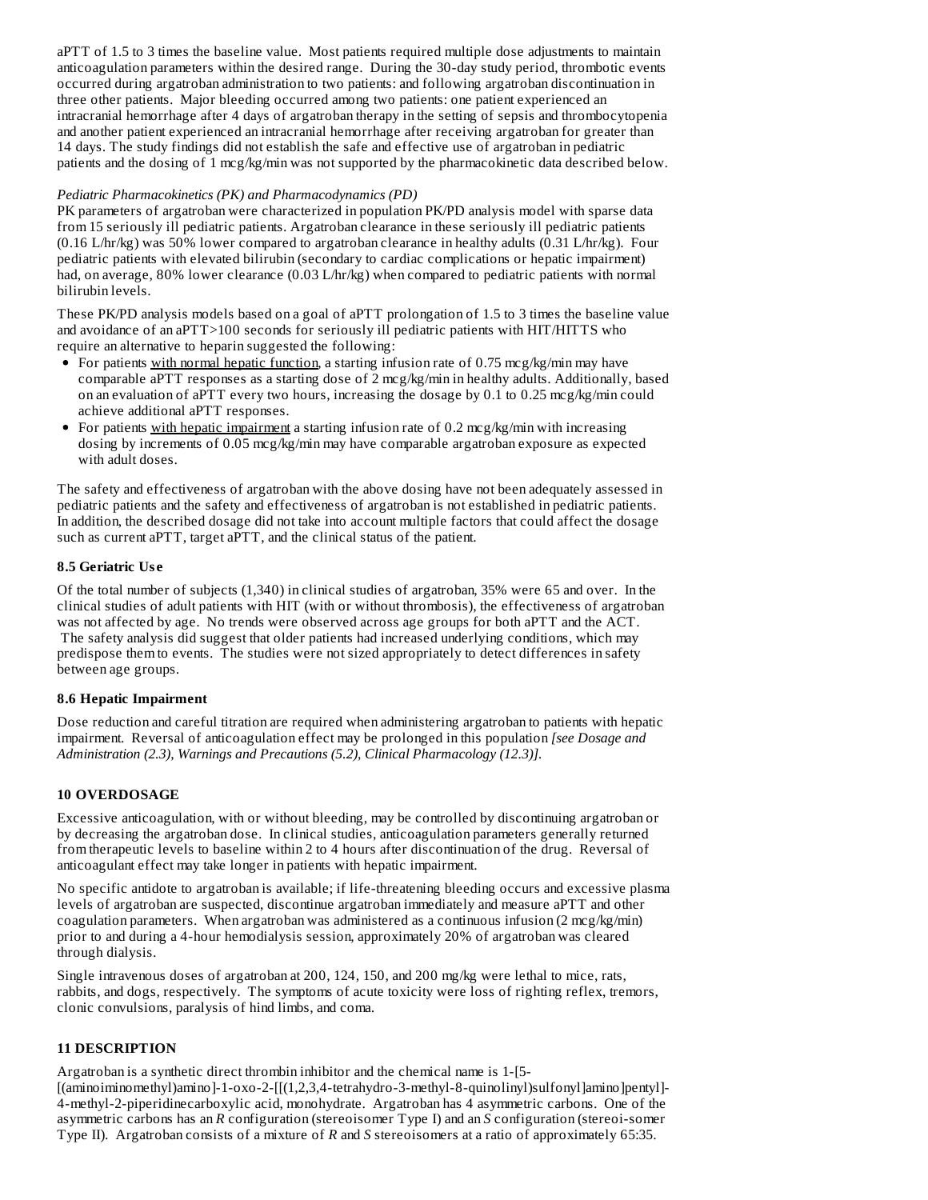aPTT of 1.5 to 3 times the baseline value. Most patients required multiple dose adjustments to maintain anticoagulation parameters within the desired range. During the 30-day study period, thrombotic events occurred during argatroban administration to two patients: and following argatroban discontinuation in three other patients. Major bleeding occurred among two patients: one patient experienced an intracranial hemorrhage after 4 days of argatroban therapy in the setting of sepsis and thrombocytopenia and another patient experienced an intracranial hemorrhage after receiving argatroban for greater than 14 days. The study findings did not establish the safe and effective use of argatroban in pediatric patients and the dosing of 1 mcg/kg/min was not supported by the pharmacokinetic data described below.

# *Pediatric Pharmacokinetics (PK) and Pharmacodynamics (PD)*

PK parameters of argatroban were characterized in population PK/PD analysis model with sparse data from 15 seriously ill pediatric patients. Argatroban clearance in these seriously ill pediatric patients (0.16 L/hr/kg) was 50% lower compared to argatroban clearance in healthy adults (0.31 L/hr/kg). Four pediatric patients with elevated bilirubin (secondary to cardiac complications or hepatic impairment) had, on average, 80% lower clearance (0.03 L/hr/kg) when compared to pediatric patients with normal bilirubin levels.

These PK/PD analysis models based on a goal of aPTT prolongation of 1.5 to 3 times the baseline value and avoidance of an aPTT>100 seconds for seriously ill pediatric patients with HIT/HITTS who require an alternative to heparin suggested the following:

- For patients with normal hepatic function, a starting infusion rate of 0.75 mcg/kg/min may have comparable aPTT responses as a starting dose of 2 mcg/kg/min in healthy adults. Additionally, based on an evaluation of aPTT every two hours, increasing the dosage by 0.1 to 0.25 mcg/kg/min could achieve additional aPTT responses.
- For patients with hepatic impairment a starting infusion rate of 0.2 mcg/kg/min with increasing dosing by increments of 0.05 mcg/kg/min may have comparable argatroban exposure as expected with adult doses.

The safety and effectiveness of argatroban with the above dosing have not been adequately assessed in pediatric patients and the safety and effectiveness of argatroban is not established in pediatric patients. In addition, the described dosage did not take into account multiple factors that could affect the dosage such as current aPTT, target aPTT, and the clinical status of the patient.

# **8.5 Geriatric Us e**

Of the total number of subjects (1,340) in clinical studies of argatroban, 35% were 65 and over. In the clinical studies of adult patients with HIT (with or without thrombosis), the effectiveness of argatroban was not affected by age. No trends were observed across age groups for both aPTT and the ACT. The safety analysis did suggest that older patients had increased underlying conditions, which may predispose them to events. The studies were not sized appropriately to detect differences in safety between age groups.

# **8.6 Hepatic Impairment**

Dose reduction and careful titration are required when administering argatroban to patients with hepatic impairment. Reversal of anticoagulation effect may be prolonged in this population *[see Dosage and Administration (2.3), Warnings and Precautions (5.2), Clinical Pharmacology (12.3)].*

# **10 OVERDOSAGE**

Excessive anticoagulation, with or without bleeding, may be controlled by discontinuing argatroban or by decreasing the argatroban dose. In clinical studies, anticoagulation parameters generally returned from therapeutic levels to baseline within 2 to 4 hours after discontinuation of the drug. Reversal of anticoagulant effect may take longer in patients with hepatic impairment.

No specific antidote to argatroban is available; if life-threatening bleeding occurs and excessive plasma levels of argatroban are suspected, discontinue argatroban immediately and measure aPTT and other coagulation parameters. When argatroban was administered as a continuous infusion  $(2 \text{ mcg/kg/min})$ prior to and during a 4-hour hemodialysis session, approximately 20% of argatroban was cleared through dialysis.

Single intravenous doses of argatroban at 200, 124, 150, and 200 mg/kg were lethal to mice, rats, rabbits, and dogs, respectively. The symptoms of acute toxicity were loss of righting reflex, tremors, clonic convulsions, paralysis of hind limbs, and coma.

# **11 DESCRIPTION**

Argatroban is a synthetic direct thrombin inhibitor and the chemical name is 1-[5-  $[(aminoim)$ amino $]-1-oxo-2-[[1,2,3,4-tetrahydro-3-methyl-8-quinolinyl)$ sulfonyl $]$ amino $]$ pentyl $]$ -4-methyl-2-piperidinecarboxylic acid, monohydrate. Argatroban has 4 asymmetric carbons. One of the asymmetric carbons has an *R* configuration (stereoisomer Type I) and an *S* configuration (stereoi-somer Type II). Argatroban consists of a mixture of *R* and *S* stereoisomers at a ratio of approximately 65:35.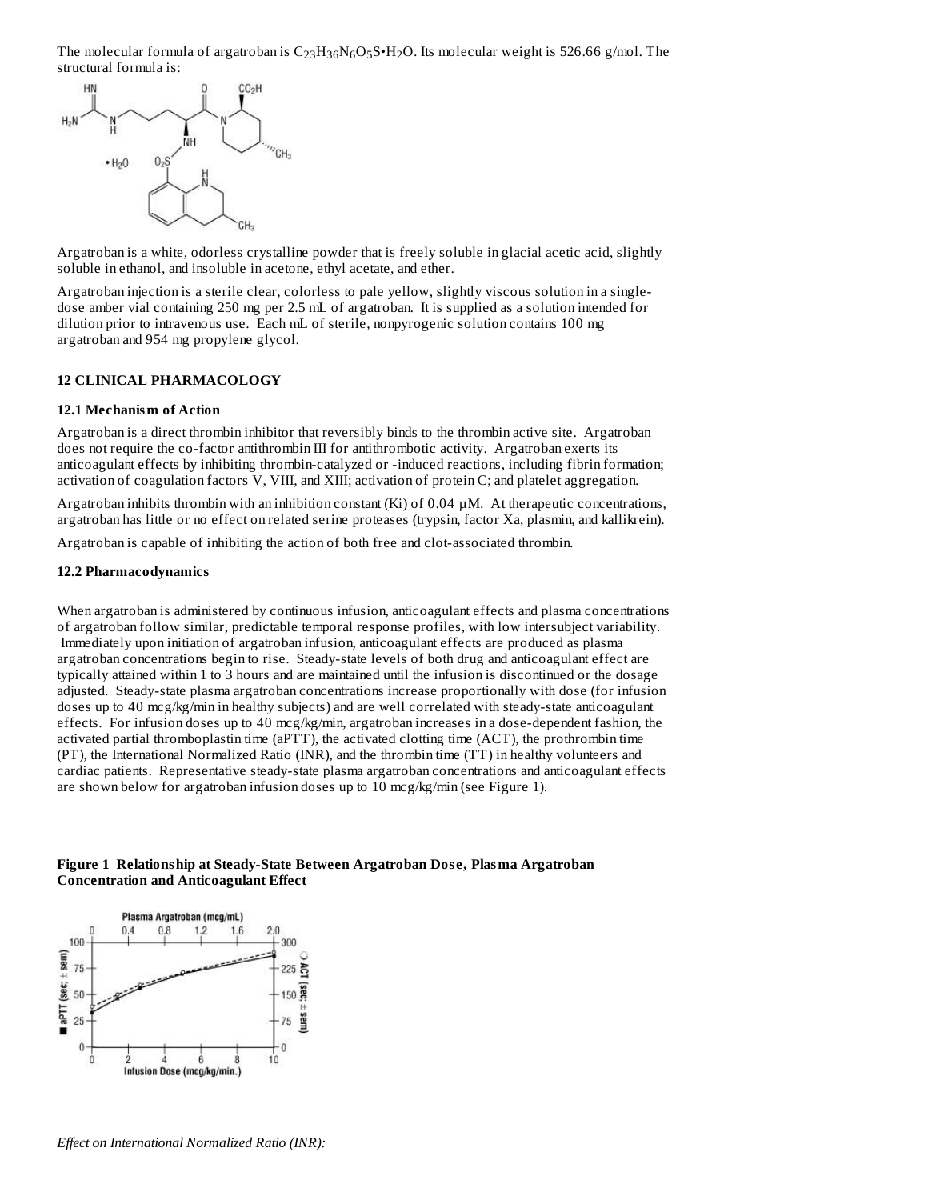The molecular formula of argatroban is  $\rm C_{23}H_{36}N_6O_5S\cdot H_2O$ . Its molecular weight is 526.66 g/mol. The structural formula is:



Argatroban is a white, odorless crystalline powder that is freely soluble in glacial acetic acid, slightly soluble in ethanol, and insoluble in acetone, ethyl acetate, and ether.

Argatroban injection is a sterile clear, colorless to pale yellow, slightly viscous solution in a singledose amber vial containing 250 mg per 2.5 mL of argatroban. It is supplied as a solution intended for dilution prior to intravenous use. Each mL of sterile, nonpyrogenic solution contains 100 mg argatroban and 954 mg propylene glycol.

#### **12 CLINICAL PHARMACOLOGY**

#### **12.1 Mechanism of Action**

Argatroban is a direct thrombin inhibitor that reversibly binds to the thrombin active site. Argatroban does not require the co-factor antithrombin III for antithrombotic activity. Argatroban exerts its anticoagulant effects by inhibiting thrombin-catalyzed or -induced reactions, including fibrin formation; activation of coagulation factors V, VIII, and XIII; activation of protein C; and platelet aggregation.

Argatroban inhibits thrombin with an inhibition constant  $(Ki)$  of 0.04  $\mu$ M. At therapeutic concentrations, argatroban has little or no effect on related serine proteases (trypsin, factor Xa, plasmin, and kallikrein).

Argatroban is capable of inhibiting the action of both free and clot-associated thrombin.

#### **12.2 Pharmacodynamics**

When argatroban is administered by continuous infusion, anticoagulant effects and plasma concentrations of argatroban follow similar, predictable temporal response profiles, with low intersubject variability. Immediately upon initiation of argatroban infusion, anticoagulant effects are produced as plasma argatroban concentrations begin to rise. Steady-state levels of both drug and anticoagulant effect are typically attained within 1 to 3 hours and are maintained until the infusion is discontinued or the dosage adjusted. Steady-state plasma argatroban concentrations increase proportionally with dose (for infusion doses up to 40 mcg/kg/min in healthy subjects) and are well correlated with steady-state anticoagulant effects. For infusion doses up to 40 mcg/kg/min, argatroban increases in a dose-dependent fashion, the activated partial thromboplastin time (aPTT), the activated clotting time (ACT), the prothrombin time (PT), the International Normalized Ratio (INR), and the thrombin time (TT) in healthy volunteers and cardiac patients. Representative steady-state plasma argatroban concentrations and anticoagulant effects are shown below for argatroban infusion doses up to 10 mcg/kg/min (see Figure 1).

#### **Figure 1 Relationship at Steady-State Between Argatroban Dos e, Plasma Argatroban Concentration and Anticoagulant Effect**

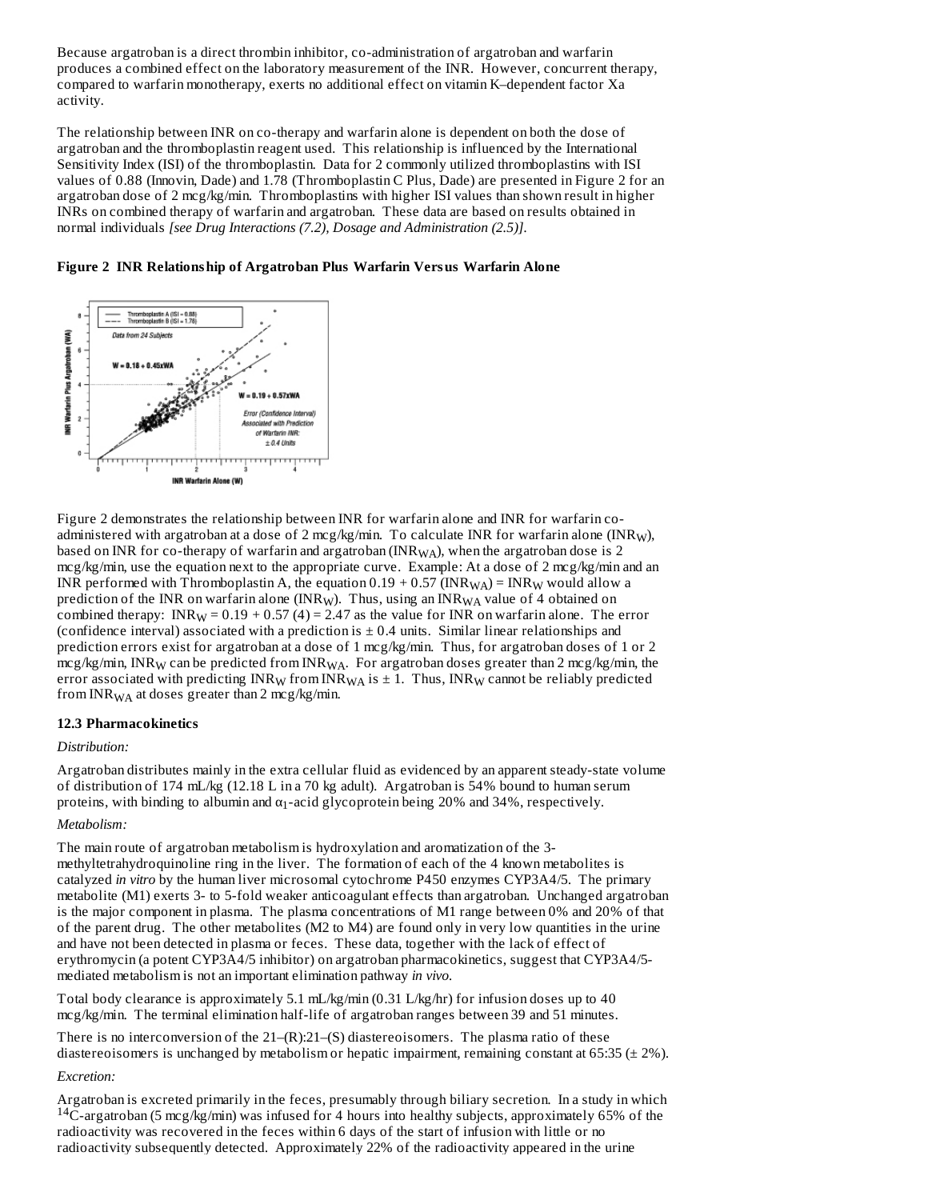Because argatroban is a direct thrombin inhibitor, co-administration of argatroban and warfarin produces a combined effect on the laboratory measurement of the INR. However, concurrent therapy, compared to warfarin monotherapy, exerts no additional effect on vitamin K–dependent factor Xa activity.

The relationship between INR on co-therapy and warfarin alone is dependent on both the dose of argatroban and the thromboplastin reagent used. This relationship is influenced by the International Sensitivity Index (ISI) of the thromboplastin. Data for 2 commonly utilized thromboplastins with ISI values of 0.88 (Innovin, Dade) and 1.78 (Thromboplastin C Plus, Dade) are presented in Figure 2 for an argatroban dose of 2 mcg/kg/min. Thromboplastins with higher ISI values than shown result in higher INRs on combined therapy of warfarin and argatroban. These data are based on results obtained in normal individuals *[see Drug Interactions (7.2), Dosage and Administration (2.5)]*.

**Figure 2 INR Relationship of Argatroban Plus Warfarin Versus Warfarin Alone**



Figure 2 demonstrates the relationship between INR for warfarin alone and INR for warfarin coadministered with argatroban at a dose of 2 mcg/kg/min. To calculate INR for warfarin alone (INR<sub>W</sub>), based on INR for co-therapy of warfarin and argatroban (INR $_{\rm WA}$ ), when the argatroban dose is 2 mcg/kg/min, use the equation next to the appropriate curve. Example: At a dose of 2 mcg/kg/min and an INR performed with Thromboplastin A, the equation  $0.19$  +  $0.57$  (INR $_{\rm WA}$ ) = INR $_{\rm W}$  would allow a prediction of the INR on warfarin alone (INR<sub>W</sub>). Thus, using an INR<sub>WA</sub> value of 4 obtained on combined therapy: INR<sub>W</sub> =  $0.19 + 0.57$  (4) = 2.47 as the value for INR on warfarin alone. The error (confidence interval) associated with a prediction is  $\pm$  0.4 units. Similar linear relationships and prediction errors exist for argatroban at a dose of 1 mcg/kg/min. Thus, for argatroban doses of 1 or 2 mcg/kg/min, INR $_{\rm W}$  can be predicted from INR $_{\rm WA}$ . For argatroban doses greater than 2 mcg/kg/min, the error associated with predicting  $\mathrm{INR}_{\mathrm{W}}$  from  $\mathrm{INR}_{\mathrm{WA}}$  is  $\pm$  1. Thus,  $\mathrm{INR}_{\mathrm{W}}$  cannot be reliably predicted from INR<sub>WA</sub> at doses greater than 2 mcg/kg/min.

# **12.3 Pharmacokinetics**

#### *Distribution:*

Argatroban distributes mainly in the extra cellular fluid as evidenced by an apparent steady-state volume of distribution of 174 mL/kg (12.18 L in a 70 kg adult). Argatroban is 54% bound to human serum proteins, with binding to albumin and  $\alpha_1$ -acid glycoprotein being 20% and 34%, respectively.

# *Metabolism:*

The main route of argatroban metabolism is hydroxylation and aromatization of the 3 methyltetrahydroquinoline ring in the liver. The formation of each of the 4 known metabolites is catalyzed *in vitro* by the human liver microsomal cytochrome P450 enzymes CYP3A4/5. The primary metabolite (M1) exerts 3- to 5-fold weaker anticoagulant effects than argatroban. Unchanged argatroban is the major component in plasma. The plasma concentrations of M1 range between 0% and 20% of that of the parent drug. The other metabolites (M2 to M4) are found only in very low quantities in the urine and have not been detected in plasma or feces. These data, together with the lack of effect of erythromycin (a potent CYP3A4/5 inhibitor) on argatroban pharmacokinetics, suggest that CYP3A4/5 mediated metabolism is not an important elimination pathway *in vivo.*

Total body clearance is approximately 5.1 mL/kg/min (0.31 L/kg/hr) for infusion doses up to 40 mcg/kg/min. The terminal elimination half-life of argatroban ranges between 39 and 51 minutes.

There is no interconversion of the  $21-(R)$ :  $21-(S)$  diastereoisomers. The plasma ratio of these diastereoisomers is unchanged by metabolism or hepatic impairment, remaining constant at 65:35 (± 2%).

# *Excretion:*

Argatroban is excreted primarily in the feces, presumably through biliary secretion. In a study in which  $^{14}$ C-argatroban (5 mcg/kg/min) was infused for 4 hours into healthy subjects, approximately 65% of the radioactivity was recovered in the feces within 6 days of the start of infusion with little or no radioactivity subsequently detected. Approximately 22% of the radioactivity appeared in the urine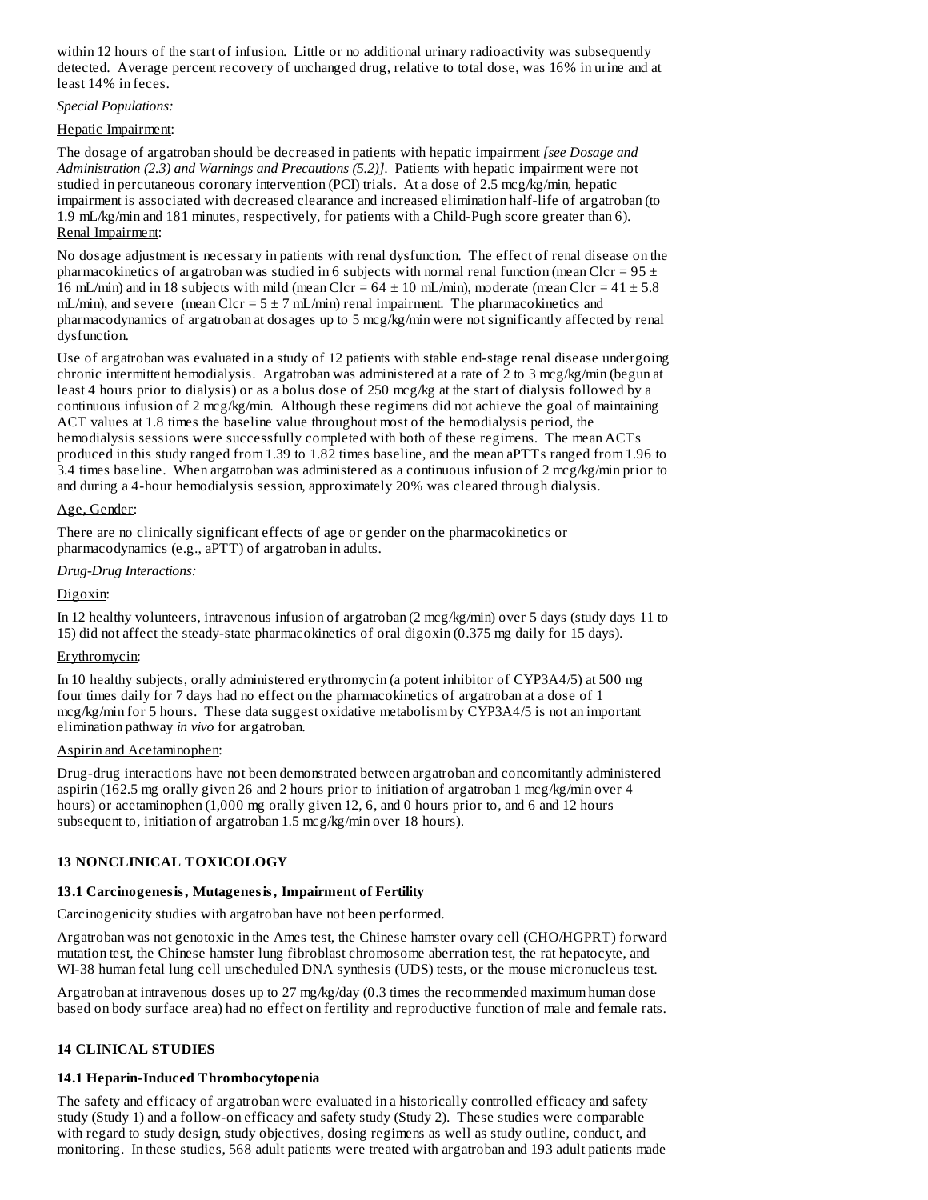within 12 hours of the start of infusion. Little or no additional urinary radioactivity was subsequently detected. Average percent recovery of unchanged drug, relative to total dose, was 16% in urine and at least 14% in feces.

# *Special Populations:*

# Hepatic Impairment:

The dosage of argatroban should be decreased in patients with hepatic impairment *[see Dosage and Administration (2.3) and Warnings and Precautions (5.2)]*. Patients with hepatic impairment were not studied in percutaneous coronary intervention (PCI) trials. At a dose of 2.5 mcg/kg/min, hepatic impairment is associated with decreased clearance and increased elimination half-life of argatroban (to 1.9 mL/kg/min and 181 minutes, respectively, for patients with a Child-Pugh score greater than 6). Renal Impairment:

No dosage adjustment is necessary in patients with renal dysfunction. The effect of renal disease on the pharmacokinetics of argatroban was studied in 6 subjects with normal renal function (mean Clcr =  $95 \pm$ 16 mL/min) and in 18 subjects with mild (mean Clcr =  $64 \pm 10$  mL/min), moderate (mean Clcr =  $41 \pm 5.8$ ) mL/min), and severe (mean Clcr =  $5 \pm 7$  mL/min) renal impairment. The pharmacokinetics and pharmacodynamics of argatroban at dosages up to 5 mcg/kg/min were not significantly affected by renal dysfunction.

Use of argatroban was evaluated in a study of 12 patients with stable end-stage renal disease undergoing chronic intermittent hemodialysis. Argatroban was administered at a rate of 2 to 3 mcg/kg/min (begun at least 4 hours prior to dialysis) or as a bolus dose of 250 mcg/kg at the start of dialysis followed by a continuous infusion of 2 mcg/kg/min. Although these regimens did not achieve the goal of maintaining ACT values at 1.8 times the baseline value throughout most of the hemodialysis period, the hemodialysis sessions were successfully completed with both of these regimens. The mean ACTs produced in this study ranged from 1.39 to 1.82 times baseline, and the mean aPTTs ranged from 1.96 to 3.4 times baseline. When argatroban was administered as a continuous infusion of 2 mcg/kg/min prior to and during a 4-hour hemodialysis session, approximately 20% was cleared through dialysis.

# Age, Gender:

There are no clinically significant effects of age or gender on the pharmacokinetics or pharmacodynamics (e.g., aPTT) of argatroban in adults.

# *Drug-Drug Interactions:*

# Digoxin:

In 12 healthy volunteers, intravenous infusion of argatroban (2 mcg/kg/min) over 5 days (study days 11 to 15) did not affect the steady-state pharmacokinetics of oral digoxin (0.375 mg daily for 15 days).

# Erythromycin:

In 10 healthy subjects, orally administered erythromycin (a potent inhibitor of CYP3A4/5) at 500 mg four times daily for 7 days had no effect on the pharmacokinetics of argatroban at a dose of 1 mcg/kg/min for 5 hours. These data suggest oxidative metabolism by CYP3A4/5 is not an important elimination pathway *in vivo* for argatroban.

# Aspirin and Acetaminophen:

Drug-drug interactions have not been demonstrated between argatroban and concomitantly administered aspirin (162.5 mg orally given 26 and 2 hours prior to initiation of argatroban 1 mcg/kg/min over 4 hours) or acetaminophen (1,000 mg orally given 12, 6, and 0 hours prior to, and 6 and 12 hours subsequent to, initiation of argatroban 1.5 mcg/kg/min over 18 hours).

# **13 NONCLINICAL TOXICOLOGY**

# **13.1 Carcinogenesis, Mutagenesis, Impairment of Fertility**

Carcinogenicity studies with argatroban have not been performed.

Argatroban was not genotoxic in the Ames test, the Chinese hamster ovary cell (CHO/HGPRT) forward mutation test, the Chinese hamster lung fibroblast chromosome aberration test, the rat hepatocyte, and WI-38 human fetal lung cell unscheduled DNA synthesis (UDS) tests, or the mouse micronucleus test.

Argatroban at intravenous doses up to 27 mg/kg/day (0.3 times the recommended maximum human dose based on body surface area) had no effect on fertility and reproductive function of male and female rats.

# **14 CLINICAL STUDIES**

# **14.1 Heparin-Induced Thrombocytopenia**

The safety and efficacy of argatroban were evaluated in a historically controlled efficacy and safety study (Study 1) and a follow-on efficacy and safety study (Study 2). These studies were comparable with regard to study design, study objectives, dosing regimens as well as study outline, conduct, and monitoring. In these studies, 568 adult patients were treated with argatroban and 193 adult patients made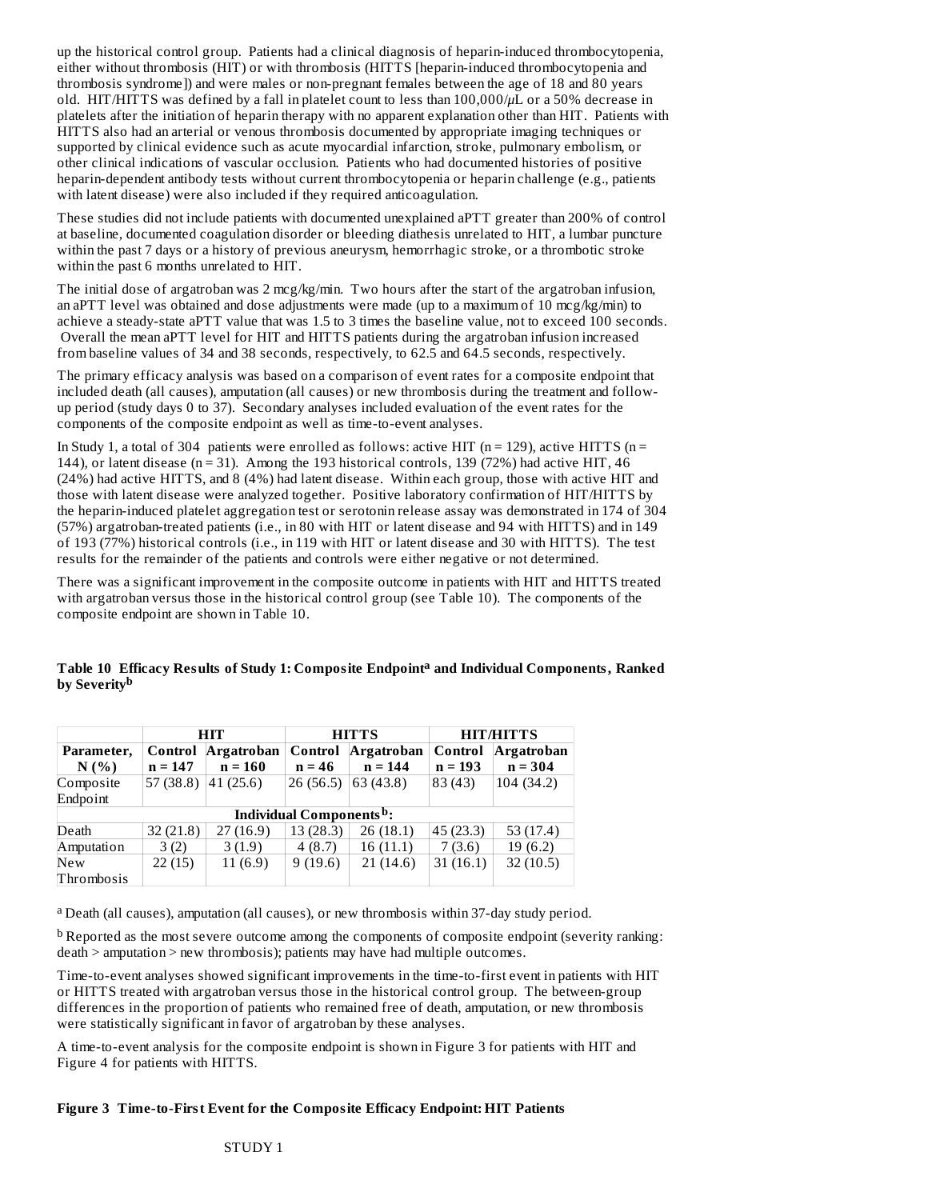up the historical control group. Patients had a clinical diagnosis of heparin-induced thrombocytopenia, either without thrombosis (HIT) or with thrombosis (HITTS [heparin-induced thrombocytopenia and thrombosis syndrome]) and were males or non-pregnant females between the age of 18 and 80 years old. HIT/HITTS was defined by a fall in platelet count to less than 100,000/*μ*L or a 50% decrease in platelets after the initiation of heparin therapy with no apparent explanation other than HIT. Patients with HITTS also had an arterial or venous thrombosis documented by appropriate imaging techniques or supported by clinical evidence such as acute myocardial infarction, stroke, pulmonary embolism, or other clinical indications of vascular occlusion. Patients who had documented histories of positive heparin-dependent antibody tests without current thrombocytopenia or heparin challenge (e.g., patients with latent disease) were also included if they required anticoagulation.

These studies did not include patients with documented unexplained aPTT greater than 200% of control at baseline, documented coagulation disorder or bleeding diathesis unrelated to HIT, a lumbar puncture within the past 7 days or a history of previous aneurysm, hemorrhagic stroke, or a thrombotic stroke within the past 6 months unrelated to HIT.

The initial dose of argatroban was 2 mcg/kg/min. Two hours after the start of the argatroban infusion, an aPTT level was obtained and dose adjustments were made (up to a maximum of 10 mcg/kg/min) to achieve a steady-state aPTT value that was 1.5 to 3 times the baseline value, not to exceed 100 seconds. Overall the mean aPTT level for HIT and HITTS patients during the argatroban infusion increased from baseline values of 34 and 38 seconds, respectively, to 62.5 and 64.5 seconds, respectively.

The primary efficacy analysis was based on a comparison of event rates for a composite endpoint that included death (all causes), amputation (all causes) or new thrombosis during the treatment and followup period (study days 0 to 37). Secondary analyses included evaluation of the event rates for the components of the composite endpoint as well as time-to-event analyses.

In Study 1, a total of 304 patients were enrolled as follows: active HIT ( $n = 129$ ), active HITTS ( $n = 129$ ) 144), or latent disease ( $n = 31$ ). Among the 193 historical controls, 139 (72%) had active HIT, 46 (24%) had active HITTS, and 8 (4%) had latent disease. Within each group, those with active HIT and those with latent disease were analyzed together. Positive laboratory confirmation of HIT/HITTS by the heparin-induced platelet aggregation test or serotonin release assay was demonstrated in 174 of 304 (57%) argatroban-treated patients (i.e., in 80 with HIT or latent disease and 94 with HITTS) and in 149 of 193 (77%) historical controls (i.e., in 119 with HIT or latent disease and 30 with HITTS). The test results for the remainder of the patients and controls were either negative or not determined.

There was a significant improvement in the composite outcome in patients with HIT and HITTS treated with argatroban versus those in the historical control group (see Table 10). The components of the composite endpoint are shown in Table 10.

**Table 10 Efficacy Results of Study 1: Composite Endpoint and Individual Components, Ranked a by Severity b**

|                                      |           | <b>HIT</b>        |          | <b>HITTS</b> | <b>HIT/HITTS</b> |             |  |
|--------------------------------------|-----------|-------------------|----------|--------------|------------------|-------------|--|
| Parameter,                           | Control   | <b>Argatroban</b> | Control  | Argatroban   | Control          | Argatroban  |  |
| N(%                                  | $n = 147$ | $n = 160$         | $n = 46$ | $n = 144$    | $n = 193$        | $n = 304$   |  |
| Composite                            | 57(38.8)  | 41(25.6)          | 26(56.5) | 63(43.8)     | 83 (43)          | 104(34.2)   |  |
| Endpoint                             |           |                   |          |              |                  |             |  |
| Individual Components <sup>b</sup> : |           |                   |          |              |                  |             |  |
| Death                                | 32(21.8)  | 27(16.9)          | 13(28.3) | 26(18.1)     | 45(23.3)         | 53 $(17.4)$ |  |
| Amputation                           | 3(2)      | 3(1.9)            | 4(8.7)   | 16(11.1)     | 7(3.6)           | 19(6.2)     |  |
| <b>New</b>                           | 22(15)    | 11(6.9)           | 9(19.6)  | 21(14.6)     | 31(16.1)         | 32(10.5)    |  |
| Thrombosis                           |           |                   |          |              |                  |             |  |

<sup>a</sup> Death (all causes), amputation (all causes), or new thrombosis within 37-day study period.

<sup>b</sup> Reported as the most severe outcome among the components of composite endpoint (severity ranking: death > amputation > new thrombosis); patients may have had multiple outcomes.

Time-to-event analyses showed significant improvements in the time-to-first event in patients with HIT or HITTS treated with argatroban versus those in the historical control group. The between-group differences in the proportion of patients who remained free of death, amputation, or new thrombosis were statistically significant in favor of argatroban by these analyses.

A time-to-event analysis for the composite endpoint is shown in Figure 3 for patients with HIT and Figure 4 for patients with HITTS.

# **Figure 3 Time-to-First Event for the Composite Efficacy Endpoint: HIT Patients**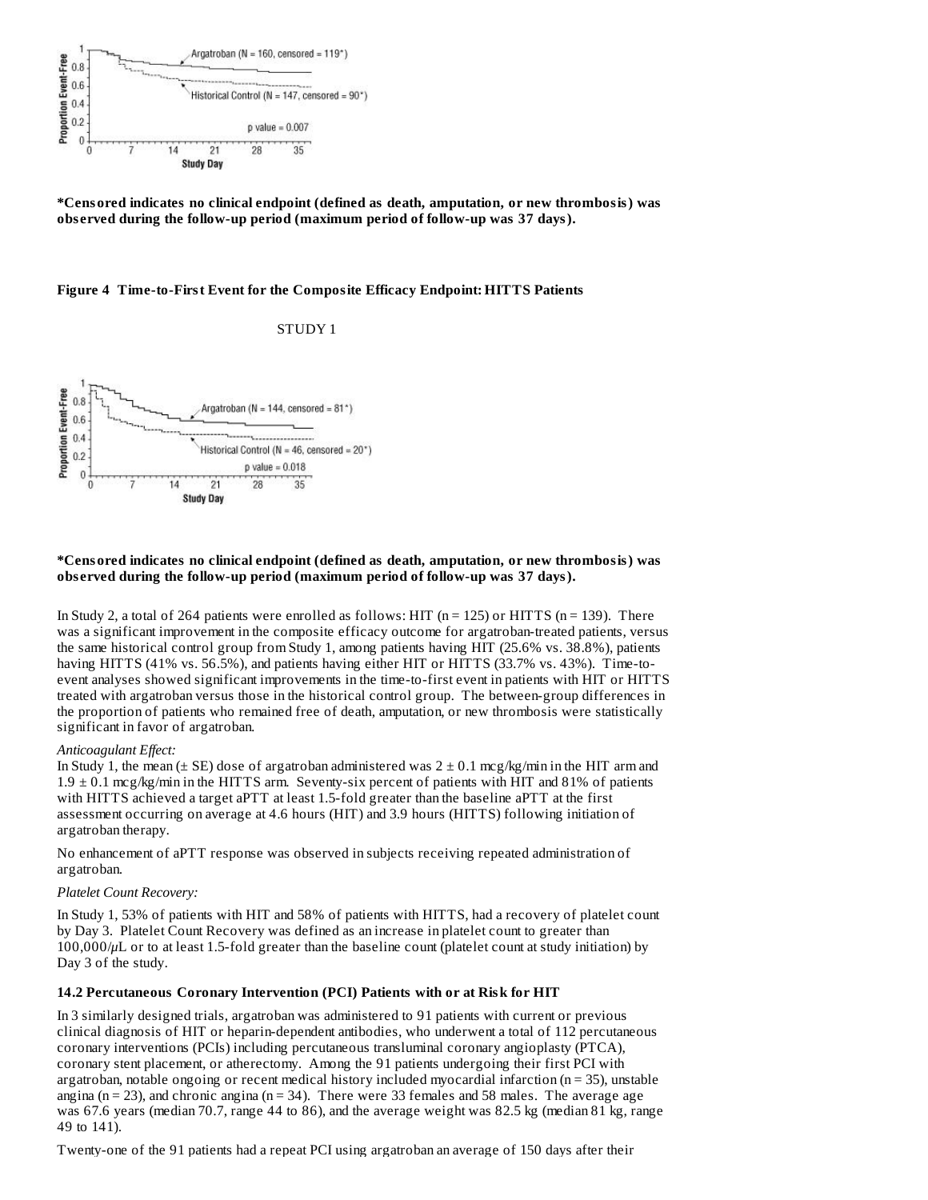

**\*Censored indicates no clinical endpoint (defined as death, amputation, or new thrombosis) was obs erved during the follow-up period (maximum period of follow-up was 37 days).**

#### **Figure 4 Time-to-First Event for the Composite Efficacy Endpoint: HITTS Patients**

STUDY 1



#### **\*Censored indicates no clinical endpoint (defined as death, amputation, or new thrombosis) was obs erved during the follow-up period (maximum period of follow-up was 37 days).**

In Study 2, a total of 264 patients were enrolled as follows: HIT ( $n = 125$ ) or HITTS ( $n = 139$ ). There was a significant improvement in the composite efficacy outcome for argatroban-treated patients, versus the same historical control group from Study 1, among patients having HIT (25.6% vs. 38.8%), patients having HITTS (41% vs. 56.5%), and patients having either HIT or HITTS (33.7% vs. 43%). Time-toevent analyses showed significant improvements in the time-to-first event in patients with HIT or HITTS treated with argatroban versus those in the historical control group. The between-group differences in the proportion of patients who remained free of death, amputation, or new thrombosis were statistically significant in favor of argatroban.

#### *Anticoagulant Effect:*

In Study 1, the mean ( $\pm$  SE) dose of argatroban administered was  $2 \pm 0.1$  mcg/kg/min in the HIT arm and 1.9 ± 0.1 mcg/kg/min in the HITTS arm. Seventy-six percent of patients with HIT and 81% of patients with HITTS achieved a target aPTT at least 1.5-fold greater than the baseline aPTT at the first assessment occurring on average at 4.6 hours (HIT) and 3.9 hours (HITTS) following initiation of argatroban therapy.

No enhancement of aPTT response was observed in subjects receiving repeated administration of argatroban.

# *Platelet Count Recovery:*

In Study 1, 53% of patients with HIT and 58% of patients with HITTS, had a recovery of platelet count by Day 3. Platelet Count Recovery was defined as an increase in platelet count to greater than 100,000/*μ*L or to at least 1.5-fold greater than the baseline count (platelet count at study initiation) by Day 3 of the study.

#### **14.2 Percutaneous Coronary Intervention (PCI) Patients with or at Risk for HIT**

In 3 similarly designed trials, argatroban was administered to 91 patients with current or previous clinical diagnosis of HIT or heparin-dependent antibodies, who underwent a total of 112 percutaneous coronary interventions (PCIs) including percutaneous transluminal coronary angioplasty (PTCA), coronary stent placement, or atherectomy. Among the 91 patients undergoing their first PCI with argatroban, notable ongoing or recent medical history included myocardial infarction ( $n = 35$ ), unstable angina ( $n = 23$ ), and chronic angina ( $n = 34$ ). There were 33 females and 58 males. The average age was 67.6 years (median 70.7, range 44 to 86), and the average weight was 82.5 kg (median 81 kg, range 49 to 141).

Twenty-one of the 91 patients had a repeat PCI using argatroban an average of 150 days after their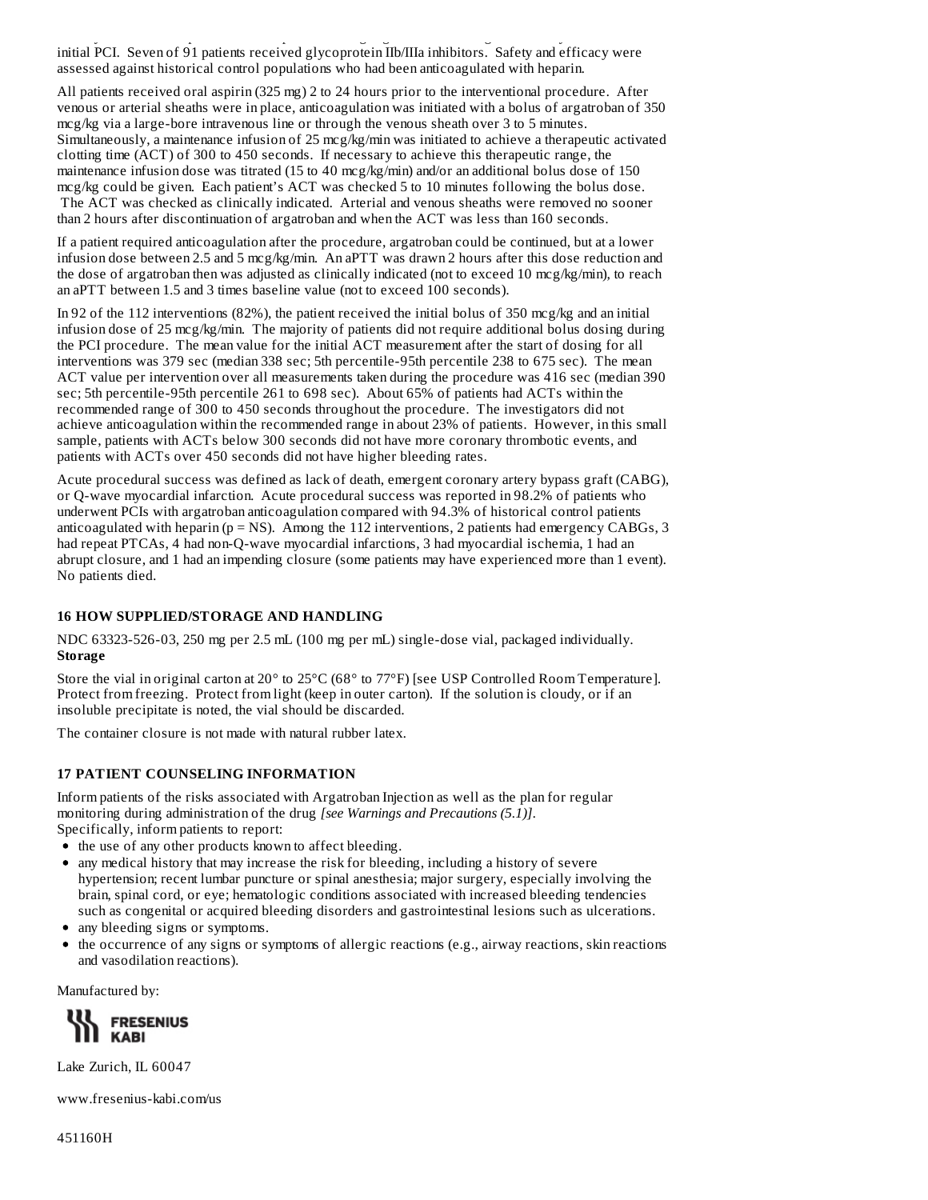Twenty-one of the 91 patients had a repeat PCI using argatroban an average of 150 days after their initial PCI. Seven of 91 patients received glycoprotein IIb/IIIa inhibitors. Safety and efficacy were assessed against historical control populations who had been anticoagulated with heparin.

All patients received oral aspirin (325 mg) 2 to 24 hours prior to the interventional procedure. After venous or arterial sheaths were in place, anticoagulation was initiated with a bolus of argatroban of 350 mcg/kg via a large-bore intravenous line or through the venous sheath over 3 to 5 minutes. Simultaneously, a maintenance infusion of 25 mcg/kg/min was initiated to achieve a therapeutic activated clotting time (ACT) of 300 to 450 seconds. If necessary to achieve this therapeutic range, the maintenance infusion dose was titrated (15 to 40 mcg/kg/min) and/or an additional bolus dose of 150 mcg/kg could be given. Each patient's ACT was checked 5 to 10 minutes following the bolus dose. The ACT was checked as clinically indicated. Arterial and venous sheaths were removed no sooner than 2 hours after discontinuation of argatroban and when the ACT was less than 160 seconds.

If a patient required anticoagulation after the procedure, argatroban could be continued, but at a lower infusion dose between 2.5 and 5 mcg/kg/min. An aPTT was drawn 2 hours after this dose reduction and the dose of argatroban then was adjusted as clinically indicated (not to exceed 10 mcg/kg/min), to reach an aPTT between 1.5 and 3 times baseline value (not to exceed 100 seconds).

In 92 of the 112 interventions (82%), the patient received the initial bolus of 350 mcg/kg and an initial infusion dose of 25 mcg/kg/min. The majority of patients did not require additional bolus dosing during the PCI procedure. The mean value for the initial ACT measurement after the start of dosing for all interventions was 379 sec (median 338 sec; 5th percentile-95th percentile 238 to 675 sec). The mean ACT value per intervention over all measurements taken during the procedure was 416 sec (median 390 sec; 5th percentile-95th percentile 261 to 698 sec). About 65% of patients had ACTs within the recommended range of 300 to 450 seconds throughout the procedure. The investigators did not achieve anticoagulation within the recommended range in about 23% of patients. However, in this small sample, patients with ACTs below 300 seconds did not have more coronary thrombotic events, and patients with ACTs over 450 seconds did not have higher bleeding rates.

Acute procedural success was defined as lack of death, emergent coronary artery bypass graft (CABG), or Q-wave myocardial infarction. Acute procedural success was reported in 98.2% of patients who underwent PCIs with argatroban anticoagulation compared with 94.3% of historical control patients anticoagulated with heparin ( $p = NS$ ). Among the 112 interventions, 2 patients had emergency CABGs, 3 had repeat PTCAs, 4 had non-Q-wave myocardial infarctions, 3 had myocardial ischemia, 1 had an abrupt closure, and 1 had an impending closure (some patients may have experienced more than 1 event). No patients died.

# **16 HOW SUPPLIED/STORAGE AND HANDLING**

NDC 63323-526-03, 250 mg per 2.5 mL (100 mg per mL) single-dose vial, packaged individually. **Storage**

Store the vial in original carton at 20° to 25°C (68° to 77°F) [see USP Controlled Room Temperature]. Protect from freezing. Protect from light (keep in outer carton). If the solution is cloudy, or if an insoluble precipitate is noted, the vial should be discarded.

The container closure is not made with natural rubber latex.

# **17 PATIENT COUNSELING INFORMATION**

Inform patients of the risks associated with Argatroban Injection as well as the plan for regular monitoring during administration of the drug *[see Warnings and Precautions (5.1)]*. Specifically, inform patients to report:

- the use of any other products known to affect bleeding.
- any medical history that may increase the risk for bleeding, including a history of severe hypertension; recent lumbar puncture or spinal anesthesia; major surgery, especially involving the brain, spinal cord, or eye; hematologic conditions associated with increased bleeding tendencies such as congenital or acquired bleeding disorders and gastrointestinal lesions such as ulcerations.
- any bleeding signs or symptoms.
- the occurrence of any signs or symptoms of allergic reactions (e.g., airway reactions, skin reactions and vasodilation reactions).

Manufactured by:



Lake Zurich, IL 60047

www.fresenius-kabi.com/us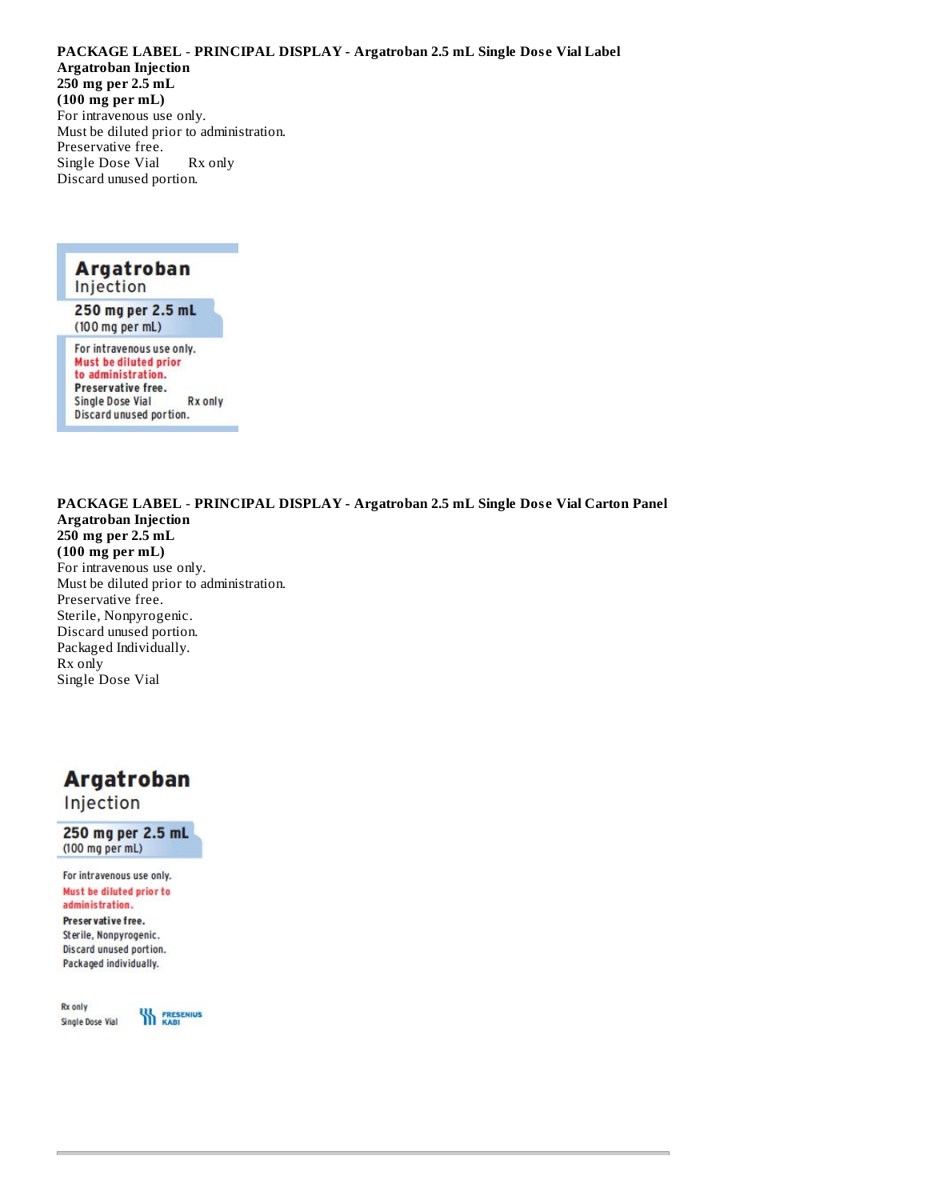**PACKAGE LABEL** - **PRINCIPAL DISPLAY - Argatroban 2.5 mL Single Dos e Vial Label Argatroban Injection 250 mg per 2.5 mL (100 mg per mL)** For intravenous use only. Must be diluted prior to administration. Preservative free. Single Dose Vial Rx only Discard unused portion.



to administration. Preservative free. **Single Dose Vial Rx** only Discard unused portion.

**PACKAGE LABEL** - **PRINCIPAL DISPLAY - Argatroban 2.5 mL Single Dos e Vial Carton Panel Argatroban Injection 250 mg per 2.5 mL (100 mg per mL)** For intravenous use only. Must be diluted prior to administration. Preservative free. Sterile, Nonpyrogenic. Discard unused portion. Packaged Individually. Rx only Single Dose Vial

# **Argatroban**

Injection

250 mg per 2.5 mL (100 mg per mL)

For intravenous use only. Must be diluted prior to administration.

Preser vative free. Sterile, Nonpyrogenic. Discard unused portion. Packaged individually.

Rx only Single Dose Vial

**WA FRESENIUS**